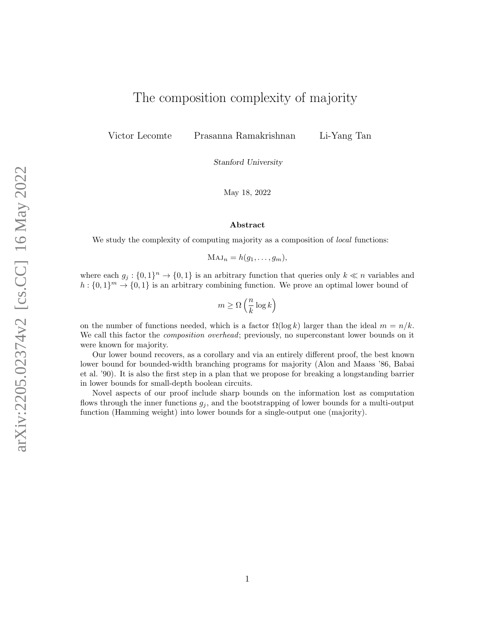# The composition complexity of majority

Victor Lecomte Prasanna Ramakrishnan

Li-Yang Tan

Stanford University

May 18, 2022

#### Abstract

We study the complexity of computing majority as a composition of *local* functions:

 $\mathrm{MAJ}_n = h(q_1, \ldots, q_m),$ 

where each  $g_j: \{0,1\}^n \to \{0,1\}$  is an arbitrary function that queries only  $k \ll n$  variables and  $h: \{0,1\}^m \to \{0,1\}$  is an arbitrary combining function. We prove an optimal lower bound of

$$
m \geq \Omega\left(\frac{n}{k} \log k\right)
$$

on the number of functions needed, which is a factor  $\Omega(\log k)$  larger than the ideal  $m = n/k$ . We call this factor the *composition overhead*; previously, no superconstant lower bounds on it were known for majority.

Our lower bound recovers, as a corollary and via an entirely different proof, the best known lower bound for bounded-width branching programs for majority (Alon and Maass '86, Babai et al. '90). It is also the first step in a plan that we propose for breaking a longstanding barrier in lower bounds for small-depth boolean circuits.

Novel aspects of our proof include sharp bounds on the information lost as computation flows through the inner functions  $g_j$ , and the bootstrapping of lower bounds for a multi-output function (Hamming weight) into lower bounds for a single-output one (majority).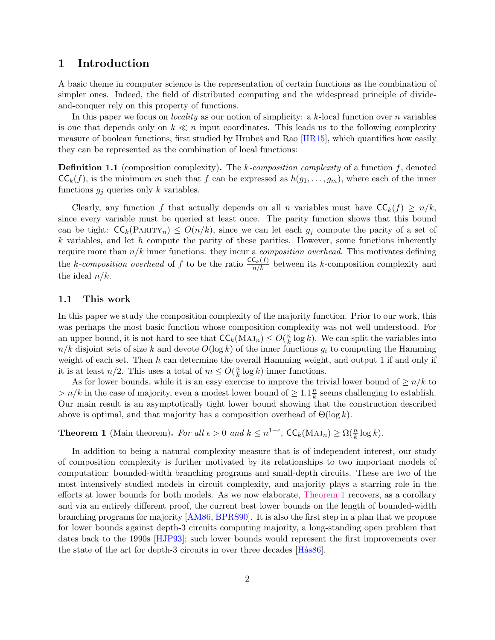### <span id="page-1-2"></span>1 Introduction

A basic theme in computer science is the representation of certain functions as the combination of simpler ones. Indeed, the field of distributed computing and the widespread principle of divideand-conquer rely on this property of functions.

In this paper we focus on *locality* as our notion of simplicity: a k-local function over n variables is one that depends only on  $k \ll n$  input coordinates. This leads us to the following complexity measure of boolean functions, first studied by Hrubes and Rao  $[HR15]$ , which quantifies how easily they can be represented as the combination of local functions:

<span id="page-1-1"></span>**Definition 1.1** (composition complexity). The k-composition complexity of a function f, denoted  $\mathsf{CC}_k(f)$ , is the minimum m such that f can be expressed as  $h(g_1, \ldots, g_m)$ , where each of the inner functions  $g_j$  queries only k variables.

Clearly, any function f that actually depends on all n variables must have  $\mathsf{CC}_k(f) \geq n/k$ , since every variable must be queried at least once. The parity function shows that this bound can be tight:  $\mathsf{CC}_k(\text{PARTY}_n) \leq O(n/k)$ , since we can let each  $g_j$  compute the parity of a set of  $k$  variables, and let  $h$  compute the parity of these parities. However, some functions inherently require more than  $n/k$  inner functions: they incur a *composition overhead*. This motivates defining the k-composition overhead of f to be the ratio  $\frac{\mathsf{CC}_k(f)}{n/k}$  between its k-composition complexity and the ideal  $n/k$ .

### 1.1 This work

In this paper we study the composition complexity of the majority function. Prior to our work, this was perhaps the most basic function whose composition complexity was not well understood. For an upper bound, it is not hard to see that  $\mathsf{CC}_k(\text{MAJ}_n) \le O(\frac{n}{k})$  $\frac{n}{k} \log k$ ). We can split the variables into  $n/k$  disjoint sets of size k and devote  $O(\log k)$  of the inner functions  $g_i$  to computing the Hamming weight of each set. Then  $h$  can determine the overall Hamming weight, and output 1 if and only if it is at least  $n/2$ . This uses a total of  $m \leq O(\frac{n}{k})$  $\frac{n}{k} \log k$ ) inner functions.

As for lower bounds, while it is an easy exercise to improve the trivial lower bound of  $\geq n/k$  to  $> n/k$  in the case of majority, even a modest lower bound of  $\geq 1.1 \frac{nk}{k}$  $\frac{n}{k}$  seems challenging to establish. Our main result is an asymptotically tight lower bound showing that the construction described above is optimal, and that majority has a composition overhead of  $\Theta(\log k)$ .

<span id="page-1-0"></span>**Theorem 1** (Main theorem). For all  $\epsilon > 0$  and  $k \leq n^{1-\epsilon}$ ,  $\mathsf{CC}_k(\text{MAJ}_n) \geq \Omega(\frac{n}{k} \log k)$ .

In addition to being a natural complexity measure that is of independent interest, our study of composition complexity is further motivated by its relationships to two important models of computation: bounded-width branching programs and small-depth circuits. These are two of the most intensively studied models in circuit complexity, and majority plays a starring role in the efforts at lower bounds for both models. As we now elaborate, [Theorem 1](#page-1-0) recovers, as a corollary and via an entirely different proof, the current best lower bounds on the length of bounded-width branching programs for majority [\[AM86,](#page-24-0) [BPRS90\]](#page-25-1). It is also the first step in a plan that we propose for lower bounds against depth-3 circuits computing majority, a long-standing open problem that dates back to the 1990s [\[HJP93\]](#page-25-2); such lower bounds would represent the first improvements over the state of the art for depth-3 circuits in over three decades  $[Hås86]$ .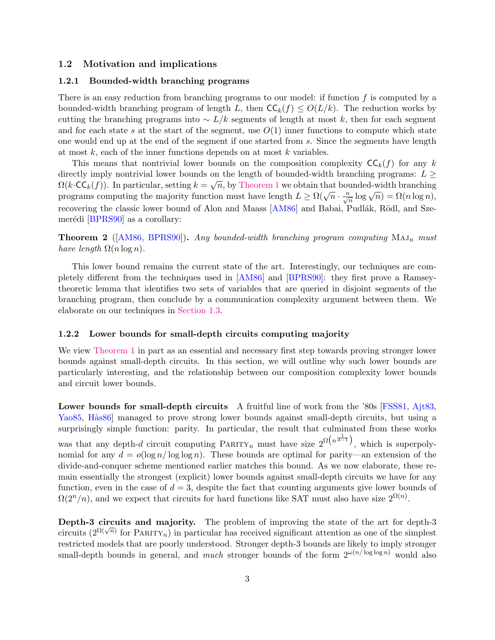### 1.2 Motivation and implications

#### <span id="page-2-2"></span>1.2.1 Bounded-width branching programs

There is an easy reduction from branching programs to our model: if function  $f$  is computed by a bounded-width branching program of length L, then  $\mathsf{CC}_k(f) \le O(L/k)$ . The reduction works by cutting the branching programs into  $\sim L/k$  segments of length at most k, then for each segment and for each state s at the start of the segment, use  $O(1)$  inner functions to compute which state one would end up at the end of the segment if one started from s. Since the segments have length at most  $k$ , each of the inner functions depends on at most  $k$  variables.

This means that nontrivial lower bounds on the composition complexity  $\mathsf{CC}_k(f)$  for any k directly imply nontrivial lower bounds on the length of bounded-width branching programs:  $L \geq$  $\Omega(k \cdot \mathsf{CC}_k(f))$ . In particular, setting  $k = \sqrt{n}$ , by [Theorem 1](#page-1-0) we obtain that bounded-width branching programs computing the majority function must have length  $L \ge \Omega(\sqrt{n} \cdot \frac{n}{\sqrt{n}} \log \sqrt{n}) = \Omega(n \log n)$ , recovering the classic lower bound of Alon and Maass [\[AM86\]](#page-24-0) and Babai, Pudlák, Rödl, and Sze-merédi [\[BPRS90\]](#page-25-1) as a corollary:

<span id="page-2-3"></span>**Theorem 2** ( $[AM86, BPRS90]$  $[AM86, BPRS90]$  $[AM86, BPRS90]$ ). Any bounded-width branching program computing  $MAJ_n$  must have length  $\Omega(n \log n)$ .

This lower bound remains the current state of the art. Interestingly, our techniques are completely different from the techniques used in [\[AM86\]](#page-24-0) and [\[BPRS90\]](#page-25-1): they first prove a Ramseytheoretic lemma that identifies two sets of variables that are queried in disjoint segments of the branching program, then conclude by a communication complexity argument between them. We elaborate on our techniques in [Section 1.3.](#page-4-0)

#### <span id="page-2-0"></span>1.2.2 Lower bounds for small-depth circuits computing majority

We view [Theorem 1](#page-1-0) in part as an essential and necessary first step towards proving stronger lower bounds against small-depth circuits. In this section, we will outline why such lower bounds are particularly interesting, and the relationship between our composition complexity lower bounds and circuit lower bounds.

<span id="page-2-1"></span>Lower bounds for small-depth circuits A fruitful line of work from the '80s [\[FSS81,](#page-25-4) [Ajt83,](#page-24-1) [Yao85,](#page-27-0) Hås86] managed to prove strong lower bounds against small-depth circuits, but using a surprisingly simple function: parity. In particular, the result that culminated from these works was that any depth-d circuit computing  $\text{PARITY}_n$  must have size  $2^{\Omega(n^{\frac{1}{d-1}})}$ , which is superpolynomial for any  $d = o(\log n / \log \log n)$ . These bounds are optimal for parity—an extension of the divide-and-conquer scheme mentioned earlier matches this bound. As we now elaborate, these remain essentially the strongest (explicit) lower bounds against small-depth circuits we have for any function, even in the case of  $d = 3$ , despite the fact that counting arguments give lower bounds of  $\Omega(2^n/n)$ , and we expect that circuits for hard functions like SAT must also have size  $2^{\Omega(n)}$ .

<span id="page-2-4"></span>Depth-3 circuits and majority. The problem of improving the state of the art for depth-3 **Example 1.** For CH CH( $\pi$ ) for PARITY<sub>n</sub>) in particular has received significant attention as one of the simplest restricted models that are poorly understood. Stronger depth-3 bounds are likely to imply stronger small-depth bounds in general, and much stronger bounds of the form  $2^{\omega(n/\log \log n)}$  would also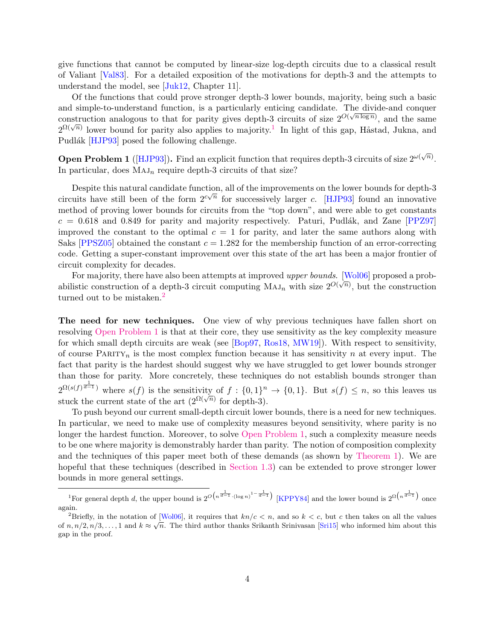give functions that cannot be computed by linear-size log-depth circuits due to a classical result of Valiant [\[Val83\]](#page-26-0). For a detailed exposition of the motivations for depth-3 and the attempts to understand the model, see [\[Juk12,](#page-26-1) Chapter 11].

Of the functions that could prove stronger depth-3 lower bounds, majority, being such a basic and simple-to-understand function, is a particularly enticing candidate. The divide-and conquer construction analogous to that for parity gives depth-3 circuits of size  $2^{O(\sqrt{n \log n})}$ , and the same  $2^{\Omega(\sqrt{n})}$  lower bound for parity also applies to majority.<sup>[1](#page-3-0)</sup> In light of this gap, Håstad, Jukna, and  $2^{\Omega(\sqrt{n})}$ Pudlák [\[HJP93\]](#page-25-2) posed the following challenge.

<span id="page-3-2"></span>**Open Problem 1** ([\[HJP93\]](#page-25-2)). Find an explicit function that requires depth-3 circuits of size  $2^{\omega(\sqrt{n})}$ . In particular, does  $MAJ_n$  require depth-3 circuits of that size?

Despite this natural candidate function, all of the improvements on the lower bounds for depth-3 circuits have still been of the form  $2^{c\sqrt{n}}$  for successively larger c. [\[HJP93\]](#page-25-2) found an innovative method of proving lower bounds for circuits from the "top down", and were able to get constants  $c = 0.618$  and  $0.849$  for parity and majority respectively. Paturi, Pudlák, and Zane [\[PPZ97\]](#page-26-2) improved the constant to the optimal  $c = 1$  for parity, and later the same authors along with Saks [\[PPSZ05\]](#page-26-3) obtained the constant  $c = 1.282$  for the membership function of an error-correcting code. Getting a super-constant improvement over this state of the art has been a major frontier of circuit complexity for decades.

For majority, there have also been attempts at improved upper bounds. [\[Wol06\]](#page-27-1) proposed a probabilistic construction of a depth-3 circuit computing  $MAJ_n$  with size  $2^{O(\sqrt{n})}$ , but the construction turned out to be mistaken.<sup>[2](#page-3-1)</sup>

<span id="page-3-3"></span>The need for new techniques. One view of why previous techniques have fallen short on resolving [Open Problem 1](#page-3-2) is that at their core, they use sensitivity as the key complexity measure for which small depth circuits are weak (see [\[Bop97,](#page-25-5) [Ros18,](#page-26-4) [MW19\]](#page-26-5)). With respect to sensitivity, of course PARITY<sub>n</sub> is the most complex function because it has sensitivity n at every input. The fact that parity is the hardest should suggest why we have struggled to get lower bounds stronger than those for parity. More concretely, these techniques do not establish bounds stronger than  $2^{\Omega(s(f)^{\frac{1}{d-1}})}$  where  $s(f)$  is the sensitivity of  $f: \{0,1\}^n \to \{0,1\}$ . But  $s(f) \leq n$ , so this leaves us stuck the current state of the art  $(2^{\Omega(\sqrt{n})}$  for depth-3).

To push beyond our current small-depth circuit lower bounds, there is a need for new techniques. In particular, we need to make use of complexity measures beyond sensitivity, where parity is no longer the hardest function. Moreover, to solve [Open Problem 1,](#page-3-2) such a complexity measure needs to be one where majority is demonstrably harder than parity. The notion of composition complexity and the techniques of this paper meet both of these demands (as shown by [Theorem 1\)](#page-1-0). We are hopeful that these techniques (described in [Section 1.3\)](#page-4-0) can be extended to prove stronger lower bounds in more general settings.

<span id="page-3-0"></span><sup>&</sup>lt;sup>1</sup>For general depth d, the upper bound is  $2^{O(n^{\frac{1}{d-1}} \cdot (\log n)^{1-\frac{1}{d-1}})}$  [\[KPPY84\]](#page-26-6) and the lower bound is  $2^{\Omega(n^{\frac{1}{d-1}})}$  once again.

<span id="page-3-1"></span><sup>&</sup>lt;sup>2</sup>Briefly, in the notation of [\[Wol06\]](#page-27-1), it requires that  $kn/c < n$ , and so  $k < c$ , but c then takes on all the values of  $n, n/2, n/3, \ldots, 1$  and  $k \approx \sqrt{n}$ . The third author thanks Srikanth Srinivasan [\[Sri15\]](#page-26-7) who informed him about this gap in the proof.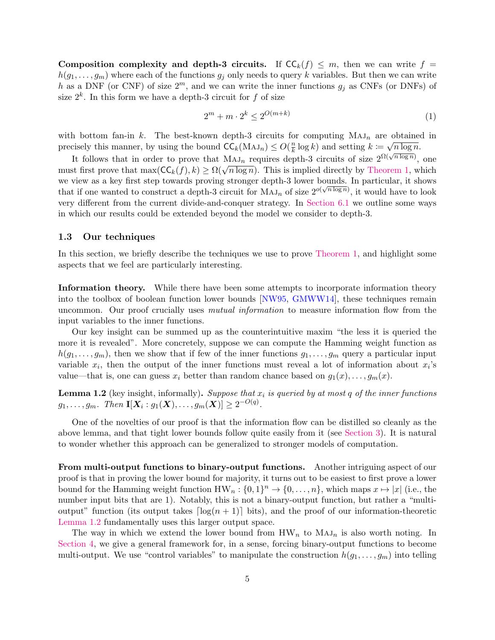Composition complexity and depth-3 circuits. If  $CC_k(f) \leq m$ , then we can write  $f =$  $h(g_1, \ldots, g_m)$  where each of the functions  $g_j$  only needs to query k variables. But then we can write h as a DNF (or CNF) of size  $2^m$ , and we can write the inner functions  $g_j$  as CNFs (or DNFs) of size  $2^k$ . In this form we have a depth-3 circuit for f of size

$$
2^m + m \cdot 2^k \le 2^{O(m+k)} \tag{1}
$$

with bottom fan-in k. The best-known depth-3 circuits for computing  $MAJ_n$  are obtained in precisely this manner, by using the bound  $\mathsf{CC}_k(\text{MAJ}_n) \le O(\frac{n}{k})$  $\frac{n}{k} \log k$  and setting  $k \coloneqq \sqrt{n \log n}$ .

It follows that in order to prove that  $MAJ_n$  requires depth-3 circuits of size  $2^{\Omega(\sqrt{n \log n})}$ , one It follows that in order to prove that  $\overline{M A J_n}$  requires depth-5 circuits of size  $2^{N+1} \rightarrow 2$ , one<br>must first prove that  $\max(CC_k(f), k) \ge \Omega(\sqrt{n \log n})$ . This is implied directly by [Theorem 1,](#page-1-0) which we view as a key first step towards proving stronger depth-3 lower bounds. In particular, it shows that if one wanted to construct a depth-3 circuit for  $MAJ_n$  of size  $2^{o(\sqrt{n \log n})}$ , it would have to look very different from the current divide-and-conquer strategy. In [Section 6.1](#page-22-0) we outline some ways in which our results could be extended beyond the model we consider to depth-3.

### <span id="page-4-0"></span>1.3 Our techniques

In this section, we briefly describe the techniques we use to prove [Theorem 1,](#page-1-0) and highlight some aspects that we feel are particularly interesting.

<span id="page-4-2"></span>Information theory. While there have been some attempts to incorporate information theory into the toolbox of boolean function lower bounds [\[NW95,](#page-26-8) [GMWW14\]](#page-25-6), these techniques remain uncommon. Our proof crucially uses *mutual information* to measure information flow from the input variables to the inner functions.

Our key insight can be summed up as the counterintuitive maxim "the less it is queried the more it is revealed". More concretely, suppose we can compute the Hamming weight function as  $h(g_1, \ldots, g_m)$ , then we show that if few of the inner functions  $g_1, \ldots, g_m$  query a particular input variable  $x_i$ , then the output of the inner functions must reveal a lot of information about  $x_i$ 's value—that is, one can guess  $x_i$  better than random chance based on  $g_1(x), \ldots, g_m(x)$ .

<span id="page-4-1"></span>**Lemma 1.2** (key insight, informally). Suppose that  $x_i$  is queried by at most q of the inner functions  $g_1, \ldots, g_m$ . Then  $\mathbf{I}[\bm{X}_i : g_1(\bm{X}), \ldots, g_m(\bm{X})] \geq 2^{-O(q)}.$ 

One of the novelties of our proof is that the information flow can be distilled so cleanly as the above lemma, and that tight lower bounds follow quite easily from it (see [Section 3\)](#page-9-0). It is natural to wonder whether this approach can be generalized to stronger models of computation.

From multi-output functions to binary-output functions. Another intriguing aspect of our proof is that in proving the lower bound for majority, it turns out to be easiest to first prove a lower bound for the Hamming weight function  $HW_n: \{0, 1\}^n \to \{0, \ldots, n\}$ , which maps  $x \mapsto |x|$  (i.e., the number input bits that are 1). Notably, this is not a binary-output function, but rather a "multioutput" function (its output takes  $\lceil \log(n + 1) \rceil$  bits), and the proof of our information-theoretic [Lemma 1.2](#page-4-1) fundamentally uses this larger output space.

The way in which we extend the lower bound from  $HW_n$  to  $MAJ_n$  is also worth noting. In [Section 4,](#page-11-0) we give a general framework for, in a sense, forcing binary-output functions to become multi-output. We use "control variables" to manipulate the construction  $h(g_1, \ldots, g_m)$  into telling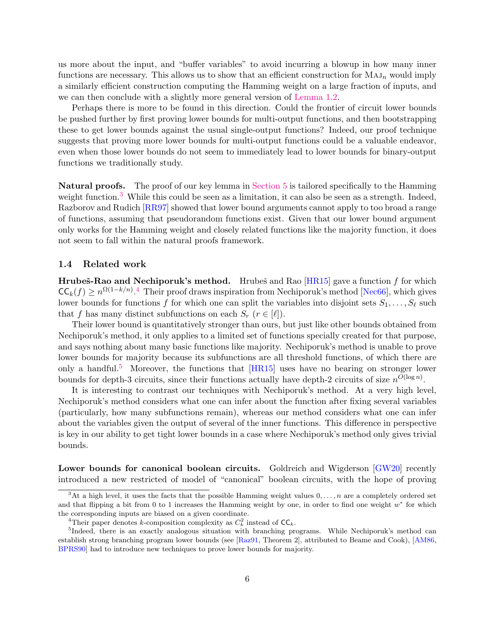us more about the input, and "buffer variables" to avoid incurring a blowup in how many inner functions are necessary. This allows us to show that an efficient construction for  $MAJ_n$  would imply a similarly efficient construction computing the Hamming weight on a large fraction of inputs, and we can then conclude with a slightly more general version of [Lemma 1.2.](#page-4-1)

Perhaps there is more to be found in this direction. Could the frontier of circuit lower bounds be pushed further by first proving lower bounds for multi-output functions, and then bootstrapping these to get lower bounds against the usual single-output functions? Indeed, our proof technique suggests that proving more lower bounds for multi-output functions could be a valuable endeavor, even when those lower bounds do not seem to immediately lead to lower bounds for binary-output functions we traditionally study.

<span id="page-5-5"></span>Natural proofs. The proof of our key lemma in [Section 5](#page-17-0) is tailored specifically to the Hamming weight function.<sup>[3](#page-5-0)</sup> While this could be seen as a limitation, it can also be seen as a strength. Indeed, Razborov and Rudich [\[RR97\]](#page-26-9) showed that lower bound arguments cannot apply to too broad a range of functions, assuming that pseudorandom functions exist. Given that our lower bound argument only works for the Hamming weight and closely related functions like the majority function, it does not seem to fall within the natural proofs framework.

### 1.4 Related work

<span id="page-5-4"></span>**Hrubeš-Rao and Nechiporuk's method.** Hrubeš and Rao  $[HR15]$  gave a function f for which  $\mathsf{CC}_k(f) \ge n^{\Omega(1-k/n)}$ . Their proof draws inspiration from Nechiporuk's method [\[Nec66\]](#page-26-10), which gives lower bounds for functions f for which one can split the variables into disjoint sets  $S_1, \ldots, S_\ell$  such that f has many distinct subfunctions on each  $S_r$   $(r \in [\ell])$ .

Their lower bound is quantitatively stronger than ours, but just like other bounds obtained from Nechiporuk's method, it only applies to a limited set of functions specially created for that purpose, and says nothing about many basic functions like majority. Nechiporuk's method is unable to prove lower bounds for majority because its subfunctions are all threshold functions, of which there are only a handful.<sup>[5](#page-5-2)</sup> Moreover, the functions that  $[HR15]$  uses have no bearing on stronger lower bounds for depth-3 circuits, since their functions actually have depth-2 circuits of size  $n^{O(\log n)}$ .

It is interesting to contrast our techniques with Nechiporuk's method. At a very high level, Nechiporuk's method considers what one can infer about the function after fixing several variables (particularly, how many subfunctions remain), whereas our method considers what one can infer about the variables given the output of several of the inner functions. This difference in perspective is key in our ability to get tight lower bounds in a case where Nechiporuk's method only gives trivial bounds.

<span id="page-5-3"></span>Lower bounds for canonical boolean circuits. Goldreich and Wigderson [\[GW20\]](#page-25-7) recently introduced a new restricted of model of "canonical" boolean circuits, with the hope of proving

<span id="page-5-0"></span><sup>&</sup>lt;sup>3</sup>At a high level, it uses the facts that the possible Hamming weight values  $0, \ldots, n$  are a completely ordered set and that flipping a bit from 0 to 1 increases the Hamming weight by one, in order to find one weight  $w^*$  for which the corresponding inputs are biased on a given coordinate.

<span id="page-5-2"></span><span id="page-5-1"></span><sup>&</sup>lt;sup>4</sup>Their paper denotes *k*-composition complexity as  $C_k^2$  instead of  $CC_k$ .

<sup>&</sup>lt;sup>5</sup>Indeed, there is an exactly analogous situation with branching programs. While Nechiporuk's method can establish strong branching program lower bounds (see [\[Raz91,](#page-26-11) Theorem 2], attributed to Beame and Cook), [\[AM86,](#page-24-0) [BPRS90\]](#page-25-1) had to introduce new techniques to prove lower bounds for majority.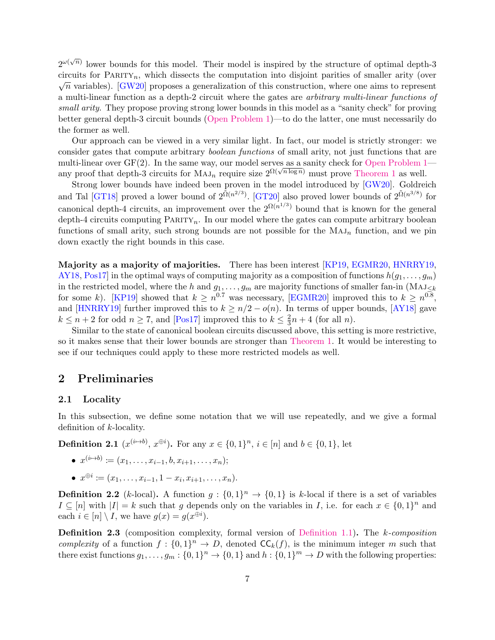$2^{\omega(\sqrt{n})}$  lower bounds for this model. Their model is inspired by the structure of optimal depth-3 circuits for PARITY<sub>n</sub>, which dissects the computation into disjoint parities of smaller arity (over  $\sqrt{n}$  variables). [\[GW20\]](#page-25-7) proposes a generalization of this construction, where one aims to represent a multi-linear function as a depth-2 circuit where the gates are arbitrary multi-linear functions of small arity. They propose proving strong lower bounds in this model as a "sanity check" for proving better general depth-3 circuit bounds [\(Open Problem 1\)](#page-3-2)—to do the latter, one must necessarily do the former as well.

Our approach can be viewed in a very similar light. In fact, our model is strictly stronger: we consider gates that compute arbitrary boolean functions of small arity, not just functions that are multi-linear over  $GF(2)$ . In the same way, our model serves as a sanity check for [Open Problem 1](#page-3-2) any proof that depth-3 circuits for  $MAJ_n$  require size  $2^{\Omega(\sqrt{n \log n})}$  must prove [Theorem 1](#page-1-0) as well.

Strong lower bounds have indeed been proven in the model introduced by [\[GW20\]](#page-25-7). Goldreich and Tal [\[GT18\]](#page-25-8) proved a lower bound of  $2^{\tilde{\Omega}(n^{2/3})}$ . [\[GT20\]](#page-25-9) also proved lower bounds of  $2^{\tilde{\Omega}(n^{3/8})}$  for canonical depth-4 circuits, an improvement over the  $2^{\Omega(n^{1/3})}$  bound that is known for the general depth-4 circuits computing  $\text{PARITY}_n$ . In our model where the gates can compute arbitrary boolean functions of small arity, such strong bounds are not possible for the  $MAJ_n$  function, and we pin down exactly the right bounds in this case.

<span id="page-6-0"></span>Majority as a majority of majorities. There has been interest [\[KP19,](#page-26-12) [EGMR20,](#page-25-10) [HNRRY19,](#page-25-11) [AY18,](#page-25-12) Pos17 in the optimal ways of computing majority as a composition of functions  $h(g_1, \ldots, g_m)$ in the restricted model, where the h and  $g_1, \ldots, g_m$  are majority functions of smaller fan-in (MAJ<sub>≤k</sub>) for some k). [\[KP19\]](#page-26-12) showed that  $k \geq n^{0.7}$  was necessary, [\[EGMR20\]](#page-25-10) improved this to  $k \geq n^{0.8}$ , and [\[HNRRY19\]](#page-25-11) further improved this to  $k \geq n/2 - o(n)$ . In terms of upper bounds, [\[AY18\]](#page-25-12) gave  $k \leq n+2$  for odd  $n \geq 7$ , and [\[Pos17\]](#page-26-13) improved this to  $k \leq \frac{2}{3}$  $\frac{2}{3}n+4$  (for all *n*).

Similar to the state of canonical boolean circuits discussed above, this setting is more restrictive, so it makes sense that their lower bounds are stronger than [Theorem 1.](#page-1-0) It would be interesting to see if our techniques could apply to these more restricted models as well.

### 2 Preliminaries

### 2.1 Locality

In this subsection, we define some notation that we will use repeatedly, and we give a formal definition of k-locality.

**Definition 2.1**  $(x^{(i\mapsto b)}, x^{\oplus i})$ . For any  $x \in \{0, 1\}^n$ ,  $i \in [n]$  and  $b \in \{0, 1\}$ , let

- $x^{(i\mapsto b)} \coloneqq (x_1, \ldots, x_{i-1}, b, x_{i+1}, \ldots, x_n);$
- $x^{\oplus i} \coloneqq (x_1, \ldots, x_{i-1}, 1 x_i, x_{i+1}, \ldots, x_n).$

**Definition 2.2** (k-local). A function  $g: \{0,1\}^n \to \{0,1\}$  is k-local if there is a set of variables  $I \subseteq [n]$  with  $|I| = k$  such that g depends only on the variables in I, i.e. for each  $x \in \{0,1\}^n$  and each  $i \in [n] \setminus I$ , we have  $g(x) = g(x^{\oplus i})$ .

Definition 2.3 (composition complexity, formal version of [Definition 1.1\)](#page-1-1). The k-composition complexity of a function  $f: \{0,1\}^n \to D$ , denoted  $\mathsf{CC}_k(f)$ , is the minimum integer m such that there exist functions  $g_1, \ldots, g_m : \{0,1\}^n \to \{0,1\}$  and  $h : \{0,1\}^m \to D$  with the following properties: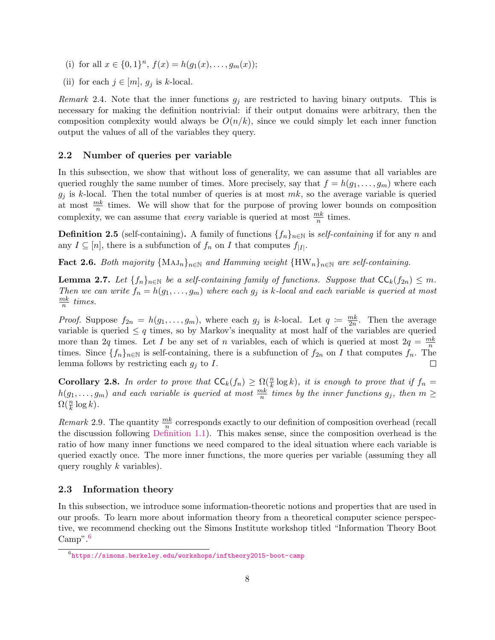- (i) for all  $x \in \{0,1\}^n$ ,  $f(x) = h(g_1(x),...,g_m(x));$
- (ii) for each  $j \in [m]$ ,  $g_j$  is k-local.

Remark 2.4. Note that the inner functions  $g_j$  are restricted to having binary outputs. This is necessary for making the definition nontrivial: if their output domains were arbitrary, then the composition complexity would always be  $O(n/k)$ , since we could simply let each inner function output the values of all of the variables they query.

### 2.2 Number of queries per variable

In this subsection, we show that without loss of generality, we can assume that all variables are queried roughly the same number of times. More precisely, say that  $f = h(q_1, \ldots, q_m)$  where each  $g_j$  is k-local. Then the total number of queries is at most  $mk$ , so the average variable is queried at most  $\frac{mk}{n}$  times. We will show that for the purpose of proving lower bounds on composition complexity, we can assume that *every* variable is queried at most  $\frac{mk}{n}$  times.

**Definition 2.5** (self-containing). A family of functions  $\{f_n\}_{n\in\mathbb{N}}$  is self-containing if for any n and any  $I \subseteq [n]$ , there is a subfunction of  $f_n$  on I that computes  $f_{|I|}$ .

**Fact 2.6.** Both majority  $\{MAJ_n\}_{n\in\mathbb{N}}$  and Hamming weight  $\{HW_n\}_{n\in\mathbb{N}}$  are self-containing.

**Lemma 2.7.** Let  $\{f_n\}_{n\in\mathbb{N}}$  be a self-containing family of functions. Suppose that  $\mathsf{CC}_k(f_{2n}) \leq m$ . Then we can write  $f_n = h(g_1, \ldots, g_m)$  where each  $g_j$  is k-local and each variable is queried at most  $\frac{mk}{2}$  $\frac{nk}{n}$  times.

*Proof.* Suppose  $f_{2n} = h(g_1, \ldots, g_m)$ , where each  $g_j$  is k-local. Let  $q := \frac{mk}{2n}$  $\frac{mk}{2n}$ . Then the average variable is queried  $\leq q$  times, so by Markov's inequality at most half of the variables are queried more than 2q times. Let I be any set of n variables, each of which is queried at most  $2q = \frac{mk}{n}$  $\overline{n}$ times. Since  $\{f_n\}_{n\in\mathbb{N}}$  is self-containing, there is a subfunction of  $f_{2n}$  on I that computes  $f_n$ . The lemma follows by restricting each  $g_i$  to I.  $\Box$ 

<span id="page-7-1"></span>**Corollary 2.8.** In order to prove that  $\mathsf{CC}_k(f_n) \geq \Omega(\frac{n}{k} \log k)$ , it is enough to prove that if  $f_n =$  $h(g_1,\ldots,g_m)$  and each variable is queried at most  $\frac{mk}{n}$  times by the inner functions  $g_j$ , then  $m\geq$  $\Omega(\frac{n}{k}\log k)$ .

Remark 2.9. The quantity  $\frac{mk}{n}$  corresponds exactly to our definition of composition overhead (recall the discussion following [Definition 1.1\)](#page-1-1). This makes sense, since the composition overhead is the ratio of how many inner functions we need compared to the ideal situation where each variable is queried exactly once. The more inner functions, the more queries per variable (assuming they all query roughly  $k$  variables).

### 2.3 Information theory

In this subsection, we introduce some information-theoretic notions and properties that are used in our proofs. To learn more about information theory from a theoretical computer science perspective, we recommend checking out the Simons Institute workshop titled "Information Theory Boot Camp<sup>".[6](#page-7-0)</sup>

<span id="page-7-0"></span> $^6$ <https://simons.berkeley.edu/workshops/inftheory2015-boot-camp>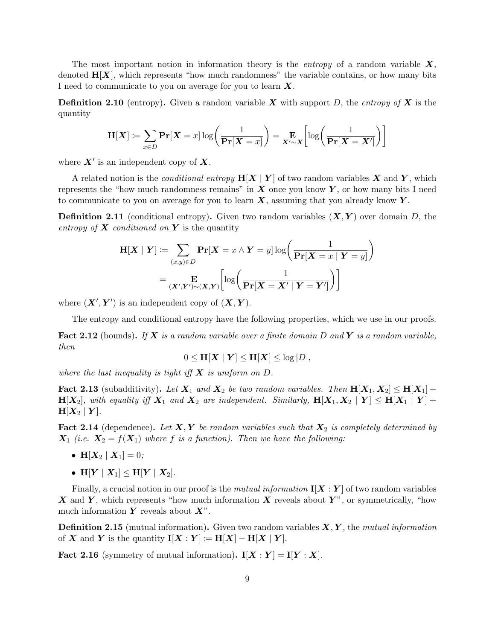The most important notion in information theory is the *entropy* of a random variable  $X$ , denoted  $H[X]$ , which represents "how much randomness" the variable contains, or how many bits I need to communicate to you on average for you to learn  $X$ .

**Definition 2.10** (entropy). Given a random variable X with support D, the entropy of X is the quantity

$$
\mathbf{H}[\boldsymbol{X}] \coloneqq \sum_{x \in D} \mathbf{Pr}[\boldsymbol{X} = x] \log \left( \frac{1}{\mathbf{Pr}[\boldsymbol{X} = x]} \right) = \mathbf{E}_{\boldsymbol{X}' \sim \boldsymbol{X}} \left[ \log \left( \frac{1}{\mathbf{Pr}[\boldsymbol{X} = \boldsymbol{X}']}\right) \right]
$$

where  $X'$  is an independent copy of  $X$ .

A related notion is the *conditional entropy*  $H[X | Y]$  of two random variables X and Y, which represents the "how much randomness remains" in  $X$  once you know  $Y$ , or how many bits I need to communicate to you on average for you to learn  $X$ , assuming that you already know  $Y$ .

**Definition 2.11** (conditional entropy). Given two random variables  $(X, Y)$  over domain D, the entropy of  $X$  conditioned on  $Y$  is the quantity

$$
\mathbf{H}[X | Y] := \sum_{(x,y)\in D} \mathbf{Pr}[X = x \land Y = y] \log \left(\frac{1}{\mathbf{Pr}[X = x | Y = y]}\right)
$$

$$
= \sum_{(X',Y')\sim(X,Y)} \left[\log \left(\frac{1}{\mathbf{Pr}[X = X' | Y = Y']}\right)\right]
$$

where  $(X', Y')$  is an independent copy of  $(X, Y)$ .

The entropy and conditional entropy have the following properties, which we use in our proofs.

**Fact 2.12** (bounds). If X is a random variable over a finite domain D and Y is a random variable, then

$$
0 \leq \mathbf{H}[\boldsymbol{X} \mid \boldsymbol{Y}] \leq \mathbf{H}[\boldsymbol{X}] \leq \log |D|,
$$

where the last inequality is tight iff  $X$  is uniform on  $D$ .

**Fact 2.13** (subadditivity). Let  $X_1$  and  $X_2$  be two random variables. Then  $H[X_1, X_2] \leq H[X_1] +$  $H[X_2]$ , with equality iff  $X_1$  and  $X_2$  are independent. Similarly,  $H[X_1, X_2 | Y] \leq H[X_1 | Y] +$  $H[X_2 | Y].$ 

**Fact 2.14** (dependence). Let  $X, Y$  be random variables such that  $X_2$  is completely determined by  $X_1$  (i.e.  $X_2 = f(X_1)$  where f is a function). Then we have the following:

- $H[X_2 | X_1] = 0;$
- $H[Y | X_1] \le H[Y | X_2].$

Finally, a crucial notion in our proof is the *mutual information*  $\mathbf{I}[\mathbf{X} : \mathbf{Y}]$  of two random variables X and Y, which represents "how much information X reveals about Y", or symmetrically, "how much information  $Y$  reveals about  $X$ ".

**Definition 2.15** (mutual information). Given two random variables  $X, Y$ , the mutual information of X and Y is the quantity  $I[X:Y] := H[X] - H[X | Y].$ 

Fact 2.16 (symmetry of mutual information).  $I[X:Y] = I[Y:X]$ .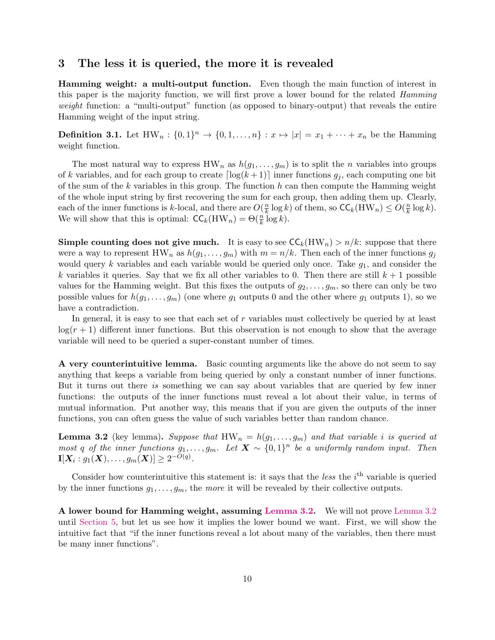### <span id="page-9-0"></span>3 The less it is queried, the more it is revealed

Hamming weight: a multi-output function. Even though the main function of interest in this paper is the majority function, we will first prove a lower bound for the related Hamming weight function: a "multi-output" function (as opposed to binary-output) that reveals the entire Hamming weight of the input string.

**Definition 3.1.** Let  $HW_n: \{0,1\}^n \to \{0,1,\ldots,n\} : x \mapsto |x| = x_1 + \cdots + x_n$  be the Hamming weight function.

The most natural way to express  $HW_n$  as  $h(g_1, \ldots, g_m)$  is to split the *n* variables into groups of k variables, and for each group to create  $\lceil \log(k + 1) \rceil$  inner functions  $g_i$ , each computing one bit of the sum of the  $k$  variables in this group. The function  $h$  can then compute the Hamming weight of the whole input string by first recovering the sum for each group, then adding them up. Clearly, each of the inner functions is k-local, and there are  $O(\frac{n}{k})$  $\frac{n}{k} \log k$ ) of them, so  $\mathsf{CC}_k(\mathbf{H}\mathbf{W}_n) \le O(\frac{n}{k})$  $\frac{n}{k} \log k$ ). We will show that this is optimal:  $\mathsf{CC}_k(\mathbf{H}\mathbf{W}_n) = \Theta(\frac{n}{k}\log k)$ .

**Simple counting does not give much.** It is easy to see  $\mathsf{CC}_k(\mathsf{HW}_n) > n/k$ : suppose that there were a way to represent  $HW_n$  as  $h(g_1, \ldots, g_m)$  with  $m = n/k$ . Then each of the inner functions  $g_j$ would query k variables and each variable would be queried only once. Take  $q_1$ , and consider the k variables it queries. Say that we fix all other variables to 0. Then there are still  $k + 1$  possible values for the Hamming weight. But this fixes the outputs of  $g_2, \ldots, g_m$ , so there can only be two possible values for  $h(g_1, \ldots, g_m)$  (one where  $g_1$  outputs 0 and the other where  $g_1$  outputs 1), so we have a contradiction.

In general, it is easy to see that each set of r variables must collectively be queried by at least  $log(r + 1)$  different inner functions. But this observation is not enough to show that the average variable will need to be queried a super-constant number of times.

A very counterintuitive lemma. Basic counting arguments like the above do not seem to say anything that keeps a variable from being queried by only a constant number of inner functions. But it turns out there is something we can say about variables that are queried by few inner functions: the outputs of the inner functions must reveal a lot about their value, in terms of mutual information. Put another way, this means that if you are given the outputs of the inner functions, you can often guess the value of such variables better than random chance.

<span id="page-9-1"></span>**Lemma 3.2** (key lemma). Suppose that  $HW_n = h(g_1, \ldots, g_m)$  and that variable i is queried at most q of the inner functions  $g_1, \ldots, g_m$ . Let  $\mathbf{X} \sim \{0,1\}^n$  be a uniformly random input. Then  $\mathbf{I}[X_i : g_1(\bm{X}), \ldots, g_m(\bm{X})] \geq 2^{-O(q)}.$ 

Consider how counterintuitive this statement is: it says that the *less* the  $i<sup>th</sup>$  variable is queried by the inner functions  $g_1, \ldots, g_m$ , the more it will be revealed by their collective outputs.

<span id="page-9-2"></span>A lower bound for Hamming weight, assuming [Lemma 3.2.](#page-9-1) We will not prove [Lemma 3.2](#page-9-1) until [Section 5,](#page-17-0) but let us see how it implies the lower bound we want. First, we will show the intuitive fact that "if the inner functions reveal a lot about many of the variables, then there must be many inner functions".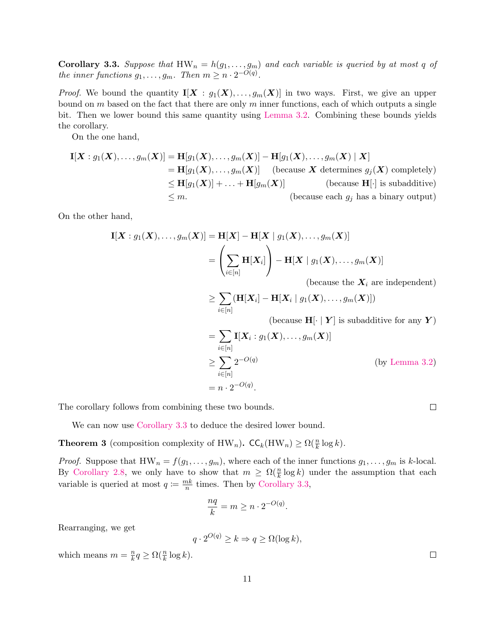**Corollary 3.3.** Suppose that  $HW_n = h(g_1, \ldots, g_m)$  and each variable is queried by at most q of the inner functions  $g_1, \ldots, g_m$ . Then  $m \geq n \cdot 2^{-O(q)}$ .

*Proof.* We bound the quantity  $I[X : g_1(X), \ldots, g_m(X)]$  in two ways. First, we give an upper bound on m based on the fact that there are only m inner functions, each of which outputs a single bit. Then we lower bound this same quantity using [Lemma 3.2.](#page-9-1) Combining these bounds yields the corollary.

On the one hand,

$$
\mathbf{I}[X: g_1(X), \dots, g_m(X)] = \mathbf{H}[g_1(X), \dots, g_m(X)] - \mathbf{H}[g_1(X), \dots, g_m(X) | X]
$$
  
\n
$$
= \mathbf{H}[g_1(X), \dots, g_m(X)] \quad \text{(because } X \text{ determines } g_j(X) \text{ completely)}
$$
  
\n
$$
\leq \mathbf{H}[g_1(X)] + \dots + \mathbf{H}[g_m(X)] \quad \text{(because } \mathbf{H}[\cdot] \text{ is subadditive)}
$$
  
\n
$$
\leq m. \quad \text{(because each } g_j \text{ has a binary output)}
$$

On the other hand,

$$
\mathbf{I}[\boldsymbol{X} : g_1(\boldsymbol{X}), \dots, g_m(\boldsymbol{X})] = \mathbf{H}[\boldsymbol{X}] - \mathbf{H}[\boldsymbol{X} \mid g_1(\boldsymbol{X}), \dots, g_m(\boldsymbol{X})] \\
= \left( \sum_{i \in [n]} \mathbf{H}[\boldsymbol{X}_i] \right) - \mathbf{H}[\boldsymbol{X} \mid g_1(\boldsymbol{X}), \dots, g_m(\boldsymbol{X})] \\
\text{(because the } \boldsymbol{X}_i \text{ are independent)}
$$

$$
\geq \sum_{i \in [n]} (\mathbf{H}[X_i] - \mathbf{H}[X_i \mid g_1(X), \dots, g_m(X)])
$$
\n(because  $\mathbf{H}[\cdot \mid \mathbf{Y}]$  is subadditive for any  $\mathbf{Y}$ )\n
$$
= \sum_{i \in [n]} \mathbf{I}[X_i : g_1(X), \dots, g_m(X)]
$$
\n
$$
\geq \sum_{i=1}^{\infty} 2^{-O(q)} \quad \text{(by Lemma 3.2)}
$$

$$
\geq \sum_{i \in [n]} 2^{-O(q)} \tag{by Lem}
$$
  
=  $n \cdot 2^{-O(q)}$ .

The corollary follows from combining these two bounds.

We can now use [Corollary 3.3](#page-9-2) to deduce the desired lower bound.

<span id="page-10-0"></span>**Theorem 3** (composition complexity of HW<sub>n</sub>).  $\mathsf{CC}_k(\text{HW}_n) \ge \Omega(\frac{n}{k} \log k)$ .

*Proof.* Suppose that  $HW_n = f(g_1, \ldots, g_m)$ , where each of the inner functions  $g_1, \ldots, g_m$  is k-local. By [Corollary 2.8,](#page-7-1) we only have to show that  $m \geq \Omega(\frac{n}{k} \log k)$  under the assumption that each variable is queried at most  $q := \frac{mk}{n}$  $\frac{nk}{n}$  times. Then by [Corollary 3.3,](#page-9-2)

$$
\frac{nq}{k} = m \ge n \cdot 2^{-O(q)}.
$$

Rearranging, we get

$$
q \cdot 2^{O(q)} \ge k \Rightarrow q \ge \Omega(\log k),
$$

which means  $m = \frac{n}{k}$  $\frac{n}{k}q \geq \Omega(\frac{n}{k}\log k).$   $\Box$ 

 $\Box$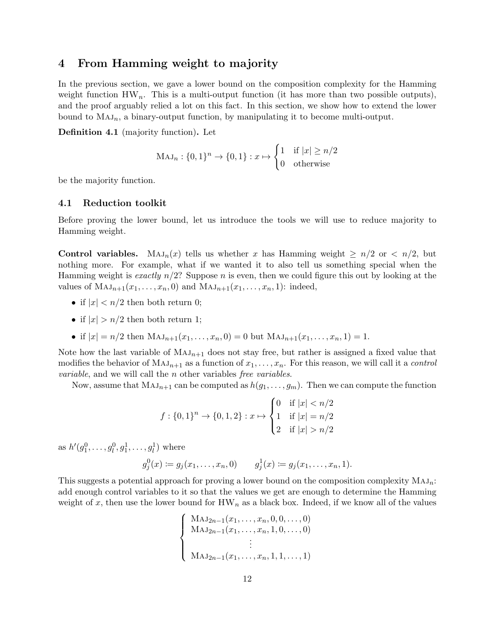### <span id="page-11-0"></span>4 From Hamming weight to majority

In the previous section, we gave a lower bound on the composition complexity for the Hamming weight function  $HW_n$ . This is a multi-output function (it has more than two possible outputs), and the proof arguably relied a lot on this fact. In this section, we show how to extend the lower bound to  $MAJ_n$ , a binary-output function, by manipulating it to become multi-output.

Definition 4.1 (majority function). Let

$$
MAJ_n: \{0,1\}^n \to \{0,1\}: x \mapsto \begin{cases} 1 & \text{if } |x| \ge n/2 \\ 0 & \text{otherwise} \end{cases}
$$

be the majority function.

#### 4.1 Reduction toolkit

Before proving the lower bound, let us introduce the tools we will use to reduce majority to Hamming weight.

**Control variables.** Maj<sub>n</sub>(x) tells us whether x has Hamming weight  $\geq n/2$  or  $\lt n/2$ , but nothing more. For example, what if we wanted it to also tell us something special when the Hamming weight is exactly  $n/2$ ? Suppose n is even, then we could figure this out by looking at the values of  $\text{MAJ}_{n+1}(x_1, \ldots, x_n, 0)$  and  $\text{MAJ}_{n+1}(x_1, \ldots, x_n, 1)$ : indeed,

- if  $|x| < n/2$  then both return 0;
- if  $|x| > n/2$  then both return 1;
- if  $|x| = n/2$  then  $MAJ_{n+1}(x_1, ..., x_n, 0) = 0$  but  $MAJ_{n+1}(x_1, ..., x_n, 1) = 1$ .

Note how the last variable of  $MAJ_{n+1}$  does not stay free, but rather is assigned a fixed value that modifies the behavior of  $MAJ_{n+1}$  as a function of  $x_1, \ldots, x_n$ . For this reason, we will call it a *control variable*, and we will call the *n* other variables free variables.

Now, assume that  $MAJ_{n+1}$  can be computed as  $h(g_1, \ldots, g_m)$ . Then we can compute the function

$$
f: \{0,1\}^n \to \{0,1,2\} : x \mapsto \begin{cases} 0 & \text{if } |x| < n/2 \\ 1 & \text{if } |x| = n/2 \\ 2 & \text{if } |x| > n/2 \end{cases}
$$

as  $h'(g_1^0, \ldots, g_l^0, g_1^1, \ldots, g_l^1)$  where

$$
g_j^0(x) \coloneqq g_j(x_1, \ldots, x_n, 0)
$$
  $g_j^1(x) \coloneqq g_j(x_1, \ldots, x_n, 1).$ 

This suggests a potential approach for proving a lower bound on the composition complexity  $MAJ_n$ : add enough control variables to it so that the values we get are enough to determine the Hamming weight of x, then use the lower bound for  $HW_n$  as a black box. Indeed, if we know all of the values

$$
\begin{cases}\n\mathrm{MAJ}_{2n-1}(x_1, \ldots, x_n, 0, 0, \ldots, 0) \\
\mathrm{MAJ}_{2n-1}(x_1, \ldots, x_n, 1, 0, \ldots, 0) \\
\vdots \\
\mathrm{MAJ}_{2n-1}(x_1, \ldots, x_n, 1, 1, \ldots, 1)\n\end{cases}
$$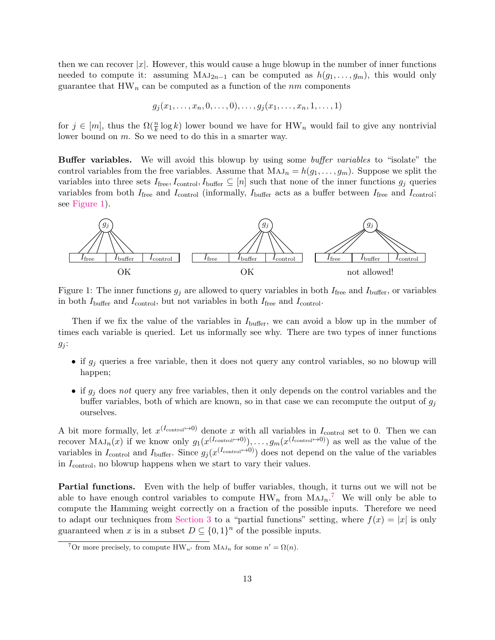then we can recover  $|x|$ . However, this would cause a huge blowup in the number of inner functions needed to compute it: assuming  $MAJ_{2n-1}$  can be computed as  $h(g_1, \ldots, g_m)$ , this would only guarantee that  $HW_n$  can be computed as a function of the *nm* components

$$
g_j(x_1,...,x_n,0,...,0),...,g_j(x_1,...,x_n,1,...,1)
$$

for  $j \in [m]$ , thus the  $\Omega(\frac{n}{k} \log k)$  lower bound we have for  $HW_n$  would fail to give any nontrivial lower bound on m. So we need to do this in a smarter way.

Buffer variables. We will avoid this blowup by using some buffer variables to "isolate" the control variables from the free variables. Assume that  $MAJ_n = h(g_1, \ldots, g_m)$ . Suppose we split the variables into three sets  $I_{\text{free}}$ ,  $I_{\text{control}}$ ,  $I_{\text{buffer}} \subseteq [n]$  such that none of the inner functions  $g_j$  queries variables from both  $I_{\text{free}}$  and  $I_{\text{control}}$  (informally,  $I_{\text{buffer}}$  acts as a buffer between  $I_{\text{free}}$  and  $I_{\text{control}}$ ; see [Figure 1\)](#page-12-0).



<span id="page-12-0"></span>Figure 1: The inner functions  $g_j$  are allowed to query variables in both  $I_{\text{free}}$  and  $I_{\text{buffer}}$ , or variables in both  $I_{\text{buffer}}$  and  $I_{\text{control}}$ , but not variables in both  $I_{\text{free}}$  and  $I_{\text{control}}$ .

Then if we fix the value of the variables in  $I_{\text{buffer}}$ , we can avoid a blow up in the number of times each variable is queried. Let us informally see why. There are two types of inner functions  $g_j$ :

- if  $g_j$  queries a free variable, then it does not query any control variables, so no blowup will happen;
- if  $g_i$  does not query any free variables, then it only depends on the control variables and the buffer variables, both of which are known, so in that case we can recompute the output of  $g_i$ ourselves.

A bit more formally, let  $x^{(I_{\text{control}} \rightarrow 0)}$  denote x with all variables in  $I_{\text{control}}$  set to 0. Then we can recover  $\text{MAJ}_n(x)$  if we know only  $g_1(x^{(I_{\text{control}}\mapsto 0)}), \ldots, g_m(x^{(I_{\text{control}}\mapsto 0)})$  as well as the value of the variables in  $I_{\text{control}}$  and  $I_{\text{buffer}}$ . Since  $g_j(x^{(I_{\text{control}}\rightarrow0)})$  does not depend on the value of the variables in  $I_{\text{control}}$ , no blowup happens when we start to vary their values.

Partial functions. Even with the help of buffer variables, though, it turns out we will not be able to have enough control variables to compute  $HW_n$  from  $MAJ_n$ .<sup>[7](#page-12-1)</sup> We will only be able to compute the Hamming weight correctly on a fraction of the possible inputs. Therefore we need to adapt our techniques from [Section 3](#page-9-0) to a "partial functions" setting, where  $f(x) = |x|$  is only guaranteed when x is in a subset  $D \subseteq \{0,1\}^n$  of the possible inputs.

<span id="page-12-1"></span><sup>&</sup>lt;sup>7</sup>Or more precisely, to compute  $HW_{n'}$  from  $MAJ_n$  for some  $n' = \Omega(n)$ .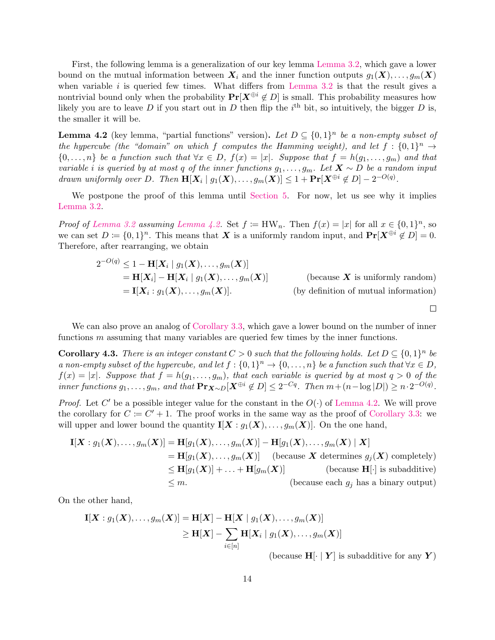First, the following lemma is a generalization of our key lemma [Lemma 3.2,](#page-9-1) which gave a lower bound on the mutual information between  $X_i$  and the inner function outputs  $g_1(X), \ldots, g_m(X)$ when variable  $i$  is queried few times. What differs from [Lemma 3.2](#page-9-1) is that the result gives a nontrivial bound only when the probability  $Pr[X^{\oplus i} \notin D]$  is small. This probability measures how likely you are to leave D if you start out in D then flip the  $i<sup>th</sup>$  bit, so intuitively, the bigger D is, the smaller it will be.

<span id="page-13-0"></span>**Lemma 4.2** (key lemma, "partial functions" version). Let  $D \subseteq \{0,1\}^n$  be a non-empty subset of the hypercube (the "domain" on which f computes the Hamming weight), and let  $f: \{0,1\}^n \rightarrow$  $\{0,\ldots,n\}$  be a function such that  $\forall x \in D$ ,  $f(x) = |x|$ . Suppose that  $f = h(g_1,\ldots,g_m)$  and that variable i is queried by at most q of the inner functions  $g_1, \ldots, g_m$ . Let  $X \sim D$  be a random input drawn uniformly over D. Then  $\mathbf{H}[X_i \mid g_1(X),...,g_m(X)] \leq 1 + \Pr[X^{\oplus i} \notin D] - 2^{-O(q)}$ .

We postpone the proof of this lemma until [Section 5.](#page-17-0) For now, let us see why it implies [Lemma 3.2.](#page-9-1)

*Proof of [Lemma 3.2](#page-9-1) assuming [Lemma 4.2.](#page-13-0)* Set  $f := HW_n$ . Then  $f(x) = |x|$  for all  $x \in \{0,1\}^n$ , so we can set  $D \coloneqq \{0,1\}^n$ . This means that X is a uniformly random input, and  $\Pr[\mathbf{X}^{\oplus i} \notin D] = 0$ . Therefore, after rearranging, we obtain

$$
2^{-O(q)} \le 1 - \mathbf{H}[X_i | g_1(X), \dots, g_m(X)]
$$
  
=  $\mathbf{H}[X_i] - \mathbf{H}[X_i | g_1(X), \dots, g_m(X)]$  (because X is uniformly random)  
=  $\mathbf{I}[X_i : g_1(X), \dots, g_m(X)].$  (by definition of mutual information)

 $\Box$ 

We can also prove an analog of [Corollary 3.3,](#page-9-2) which gave a lower bound on the number of inner functions  $m$  assuming that many variables are queried few times by the inner functions.

<span id="page-13-1"></span>**Corollary 4.3.** There is an integer constant  $C > 0$  such that the following holds. Let  $D \subseteq \{0,1\}^n$  be a non-empty subset of the hypercube, and let  $f: \{0,1\}^n \to \{0,\ldots,n\}$  be a function such that  $\forall x \in D$ ,  $f(x) = |x|$ . Suppose that  $f = h(g_1, \ldots, g_m)$ , that each variable is queried by at most  $q > 0$  of the inner functions  $g_1, \ldots, g_m$ , and that  $\mathbf{Pr}_{\mathbf{X} \sim D}[\mathbf{X}^{\oplus i} \notin D] \leq 2^{-Cq}$ . Then  $m + (n - \log |D|) \geq n \cdot 2^{-O(q)}$ .

*Proof.* Let C' be a possible integer value for the constant in the  $O(\cdot)$  of [Lemma 4.2.](#page-13-0) We will prove the corollary for  $C \coloneqq C' + 1$ . The proof works in the same way as the proof of [Corollary 3.3:](#page-9-2) we will upper and lower bound the quantity  $I[X : g_1(X), \ldots, g_m(X)]$ . On the one hand,

$$
\mathbf{I}[X: g_1(X), \dots, g_m(X)] = \mathbf{H}[g_1(X), \dots, g_m(X)] - \mathbf{H}[g_1(X), \dots, g_m(X) | X]
$$
  
\n
$$
= \mathbf{H}[g_1(X), \dots, g_m(X)] \quad \text{(because } X \text{ determines } g_j(X) \text{ completely)}
$$
  
\n
$$
\leq \mathbf{H}[g_1(X)] + \dots + \mathbf{H}[g_m(X)] \quad \text{(because } \mathbf{H}[\cdot] \text{ is subadditive)}
$$
  
\n
$$
\leq m. \quad \text{(because each } g_j \text{ has a binary output)}
$$

On the other hand,

$$
\begin{aligned} \mathbf{I}[\boldsymbol{X}:g_1(\boldsymbol{X}),\ldots,g_m(\boldsymbol{X})] & = \mathbf{H}[\boldsymbol{X}] - \mathbf{H}[\boldsymbol{X}\mid g_1(\boldsymbol{X}),\ldots,g_m(\boldsymbol{X})] \\ & \geq \mathbf{H}[\boldsymbol{X}] - \sum_{i\in[n]} \mathbf{H}[\boldsymbol{X}_i\mid g_1(\boldsymbol{X}),\ldots,g_m(\boldsymbol{X})] \end{aligned}
$$

(because  $H[\cdot | Y]$  is subadditive for any Y)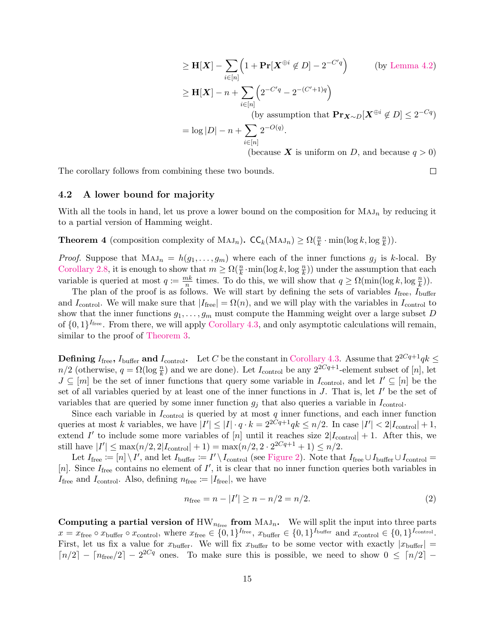$$
\geq \mathbf{H}[\mathbf{X}] - \sum_{i \in [n]} \left( 1 + \mathbf{Pr}[\mathbf{X}^{\oplus i} \notin D] - 2^{-C'q} \right) \qquad \text{(by Lemma 4.2)}
$$
\n
$$
\geq \mathbf{H}[\mathbf{X}] - n + \sum_{i \in [n]} \left( 2^{-C'q} - 2^{-(C'+1)q} \right)
$$
\n(by assumption that  $\mathbf{Pr}_{\mathbf{X} \sim D}[\mathbf{X}^{\oplus i} \notin D] \leq 2^{-Cq}$ )

\n
$$
= \log |D| - n + \sum_{i \in [n]} 2^{-O(q)}.
$$
\n(because **X** is uniform on *D*, and because *q* > 0)

 $\Box$ 

The corollary follows from combining these two bounds.

### 4.2 A lower bound for majority

With all the tools in hand, let us prove a lower bound on the composition for  $MAJ_n$  by reducing it to a partial version of Hamming weight.

**Theorem 4** (composition complexity of  $MAJ_n$ ).  $CC_k(MAJ_n) \ge \Omega(\frac{n}{k} \cdot \min(\log k, \log \frac{n}{k}))$ .

*Proof.* Suppose that  $MAJ_n = h(g_1, \ldots, g_m)$  where each of the inner functions  $g_j$  is k-local. By [Corollary 2.8,](#page-7-1) it is enough to show that  $m \geq \Omega(\frac{n}{k} \cdot \min(\log k, \log \frac{n}{k}))$  under the assumption that each variable is queried at most  $q := \frac{mk}{n}$  $\frac{nk}{n}$  times. To do this, we will show that  $q \geq \Omega(\min(\log k, \log \frac{n}{k}))$ .

The plan of the proof is as follows. We will start by defining the sets of variables  $I_{\text{free}}$ ,  $I_{\text{buffer}}$ and I<sub>control</sub>. We will make sure that  $|I_{\text{free}}| = \Omega(n)$ , and we will play with the variables in I<sub>control</sub> to show that the inner functions  $g_1, \ldots, g_m$  must compute the Hamming weight over a large subset D of  $\{0,1\}^{I_{\text{free}}}$ . From there, we will apply [Corollary 4.3,](#page-13-1) and only asymptotic calculations will remain, similar to the proof of [Theorem 3.](#page-10-0)

**Defining**  $I_{\text{free}}$ ,  $I_{\text{buffer}}$  and  $I_{\text{control}}$ . Let C be the constant in [Corollary 4.3.](#page-13-1) Assume that  $2^{2Cq+1}qk \leq$  $n/2$  (otherwise,  $q = \Omega(\log \frac{n}{k})$  and we are done). Let  $I_{\text{control}}$  be any  $2^{2Cq+1}$ -element subset of [n], let  $J \subseteq [m]$  be the set of inner functions that query some variable in  $I_{\text{control}}$ , and let  $I' \subseteq [n]$  be the set of all variables queried by at least one of the inner functions in  $J$ . That is, let  $I'$  be the set of variables that are queried by some inner function  $g_j$  that also queries a variable in  $I_{\text{control}}$ .

Since each variable in  $I_{\text{control}}$  is queried by at most  $q$  inner functions, and each inner function queries at most k variables, we have  $|I'| \leq |I| \cdot q \cdot k = 2^{2Cq+1}qk \leq n/2$ . In case  $|I'| < 2|I_{\text{control}}| + 1$ , extend I' to include some more variables of [n] until it reaches size  $2|I_{\text{control}}| + 1$ . After this, we still have  $|I'| \le \max(n/2, 2|I_{\text{control}}| + 1) = \max(n/2, 2 \cdot 2^{2Cq+1} + 1) \le n/2$ .

Let  $I_{\text{free}} := [n] \setminus I'$ , and let  $I_{\text{buffer}} := I' \setminus I_{\text{control}}$  (see [Figure 2\)](#page-15-0). Note that  $I_{\text{free}} \cup I_{\text{buffer}} \cup I_{\text{control}} =$ [n]. Since  $I_{\text{free}}$  contains no element of  $I'$ , it is clear that no inner function queries both variables in  $I_{\text{free}}$  and  $I_{\text{control}}$ . Also, defining  $n_{\text{free}} := |I_{\text{free}}|$ , we have

<span id="page-14-0"></span>
$$
n_{\text{free}} = n - |I'| \ge n - n/2 = n/2. \tag{2}
$$

Computing a partial version of  $HW_{n_{\text{free}}}$  from  $MAJ_n$ . We will split the input into three parts  $x = x_{\text{free}} \circ x_{\text{buffer}} \circ x_{\text{control}}$ , where  $x_{\text{free}} \in \{0,1\}^{I_{\text{free}}}$ ,  $x_{\text{buffer}} \in \{0,1\}^{I_{\text{buffer}}}$  and  $x_{\text{control}} \in \{0,1\}^{I_{\text{control}}}$ . First, let us fix a value for  $x_{\text{buffer}}$ . We will fix  $x_{\text{buffer}}$  to be some vector with exactly  $|x_{\text{buffer}}|$  =  $\lceil n/2 \rceil - \lceil n_{\text{free}}/2 \rceil - 2^{2Cq}$  ones. To make sure this is possible, we need to show  $0 \leq \lceil n/2 \rceil$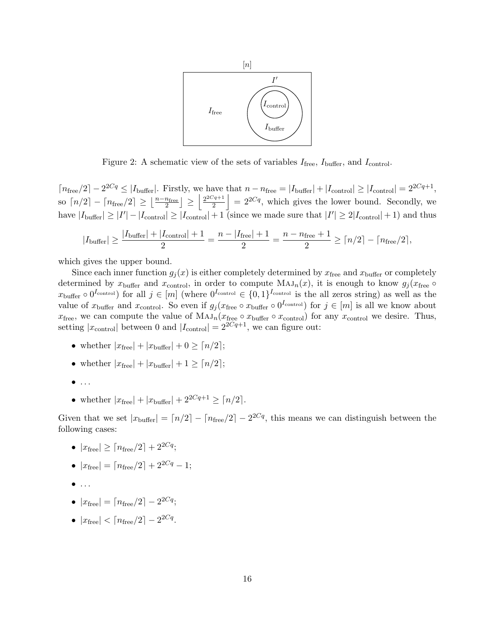

<span id="page-15-0"></span>Figure 2: A schematic view of the sets of variables  $I_{\text{free}}$ ,  $I_{\text{buffer}}$ , and  $I_{\text{control}}$ .

 $\lceil n_{\text{free}}/2 \rceil - 2^{2Cq} \leq |I_{\text{buffer}}|$ . Firstly, we have that  $n - n_{\text{free}} = |I_{\text{buffer}}| + |I_{\text{control}}| \geq |I_{\text{control}}| = 2^{2Cq+1}$ , so  $\lceil n/2 \rceil - \lceil n_{\text{free}}/2 \rceil \geq \left\lfloor \frac{n-n_{\text{free}}}{2} \right\rfloor \geq \left\lfloor \frac{2^{2Cq+1}}{2} \right\rfloor$  $\left| \frac{Z^{2q+1}}{2} \right| = 2^{2Cq}$ , which gives the lower bound. Secondly, we have  $|I_{\text{buffer}}| \geq |I'| - |I_{\text{control}}| \geq |I_{\text{control}}| + 1$  (since we made sure that  $|I'| \geq 2|I_{\text{control}}| + 1$ ) and thus

$$
|I_{\text{buffer}}| \ge \frac{|I_{\text{buffer}}| + |I_{\text{control}}| + 1}{2} = \frac{n - |I_{\text{free}}| + 1}{2} = \frac{n - n_{\text{free}} + 1}{2} \ge \lceil n/2 \rceil - \lceil n_{\text{free}}/2 \rceil,
$$

which gives the upper bound.

Since each inner function  $g_i(x)$  is either completely determined by  $x_{\text{free}}$  and  $x_{\text{buffer}}$  or completely determined by  $x_{\text{buffer}}$  and  $x_{\text{control}}$ , in order to compute  $\text{MAJ}_n(x)$ , it is enough to know  $g_j(x_{\text{free}} \circ$  $x_{\text{buffer}} \circ 0^{I_{\text{control}}}$  for all  $j \in [m]$  (where  $0^{I_{\text{control}}} \in \{0,1\}^{I_{\text{control}}}$  is the all zeros string) as well as the value of  $x_{\text{buffer}}$  and  $x_{\text{control}}$ . So even if  $g_j(x_{\text{free}} \circ x_{\text{buffer}} \circ 0^{I_{\text{control}}})$  for  $j \in [m]$  is all we know about  $x_{\text{free}}$ , we can compute the value of  $\text{MAJ}_n(x_{\text{free}} \circ x_{\text{buffer}} \circ x_{\text{control}})$  for any  $x_{\text{control}}$  we desire. Thus, setting  $|x_{\text{control}}|$  between 0 and  $|I_{\text{control}}| = 2^{2Cq+1}$ , we can figure out:

- whether  $|x_{\text{free}}| + |x_{\text{buffer}}| + 0 \geq \lceil n/2 \rceil$ ;
- whether  $|x_{\text{free}}| + |x_{\text{buffer}}| + 1 \geq \lceil n/2 \rceil;$
- $\bullet$  ...
- whether  $|x_{\text{free}}| + |x_{\text{buffer}}| + 2^{2Cq+1} \geq \lceil n/2 \rceil$ .

Given that we set  $|x_{\text{buffer}}| = \lfloor n/2 \rfloor - \lfloor n_{\text{free}}/2 \rfloor - 2^{2Cq}$ , this means we can distinguish between the following cases:

- $|x_{\text{free}}| \geq \lceil n_{\text{free}}/2 \rceil + 2^{2Cq};$
- $|x_{\text{free}}| = \lceil n_{\text{free}}/2 \rceil + 2^{2Cq} 1;$
- $\bullet$  ...
- $|x_{\text{free}}| = \lceil n_{\text{free}}/2 \rceil 2^{2Cq};$
- $|x_{\text{free}}| < \lceil n_{\text{free}}/2 \rceil 2^{2Cq}$ .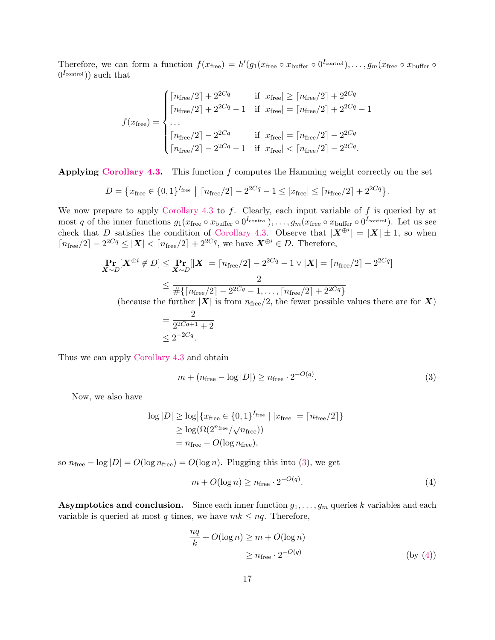Therefore, we can form a function  $f(x_{\text{free}}) = h'(g_1(x_{\text{free}} \circ x_{\text{buffer}} \circ 0^{I_{\text{control}}}), \dots, g_m(x_{\text{free}} \circ x_{\text{buffer}} \circ$  $(0^{I_{\text{control}}})$  such that

$$
f(x_{\text{free}}) = \begin{cases} \lceil n_{\text{free}}/2 \rceil + 2^{2Cq} & \text{if } |x_{\text{free}}| \ge \lceil n_{\text{free}}/2 \rceil + 2^{2Cq} \\ \lceil n_{\text{free}}/2 \rceil + 2^{2Cq} - 1 & \text{if } |x_{\text{free}}| = \lceil n_{\text{free}}/2 \rceil + 2^{2Cq} - 1 \\ \ldots & \text{if } |x_{\text{free}}| = \lceil n_{\text{free}}/2 \rceil - 2^{2Cq} \\ \lceil n_{\text{free}}/2 \rceil - 2^{2Cq} - 1 & \text{if } |x_{\text{free}}| < \lceil n_{\text{free}}/2 \rceil - 2^{2Cq} \end{cases}
$$

Applying [Corollary 4.3.](#page-13-1) This function  $f$  computes the Hamming weight correctly on the set

$$
D = \{x_{\text{free}} \in \{0, 1\}^{I_{\text{free}}} \mid \lceil n_{\text{free}}/2 \rceil - 2^{2Cq} - 1 \le |x_{\text{free}}| \le \lceil n_{\text{free}}/2 \rceil + 2^{2Cq} \}.
$$

We now prepare to apply [Corollary 4.3](#page-13-1) to  $f$ . Clearly, each input variable of  $f$  is queried by at most q of the inner functions  $g_1(x_{\text{free}} \circ x_{\text{buffer}} \circ 0^{I_{\text{control}}}), \ldots, g_m(x_{\text{free}} \circ x_{\text{buffer}} \circ 0^{I_{\text{control}}}).$  Let us see check that D satisfies the condition of [Corollary 4.3.](#page-13-1) Observe that  $|\mathbf{X}^{\oplus i}| = |\mathbf{X}| \pm 1$ , so when  $\lceil n_{\text{free}}/2 \rceil - 2^{2Cq} \leq |\mathbf{X}| < \lceil n_{\text{free}}/2 \rceil + 2^{2Cq}$ , we have  $\mathbf{X}^{\oplus i} \in D$ . Therefore,

$$
\Pr_{\mathbf{X} \sim D}[\mathbf{X}^{\oplus i} \notin D] \le \Pr_{\mathbf{X} \sim D}[\mathbf{X}] = \lceil n_{\text{free}}/2 \rceil - 2^{2Cq} - 1 \vee |\mathbf{X}| = \lceil n_{\text{free}}/2 \rceil + 2^{2Cq} \rceil
$$
\n
$$
\le \frac{2}{\# \{ \lceil n_{\text{free}}/2 \rceil - 2^{2Cq} - 1, \dots, \lceil n_{\text{free}}/2 \rceil + 2^{2Cq} \}}
$$
\n(because the further  $|\mathbf{X}|$  is from  $n_{\text{free}}/2$ , the fewer possible values there are for **X**)\n
$$
2
$$

$$
= \frac{2}{2^{2Cq+1} + 2}
$$
  
 
$$
\leq 2^{-2Cq}.
$$

Thus we can apply [Corollary 4.3](#page-13-1) and obtain

<span id="page-16-0"></span>
$$
m + (n_{\text{free}} - \log |D|) \ge n_{\text{free}} \cdot 2^{-O(q)}.\tag{3}
$$

Now, we also have

$$
\log |D| \ge \log \left| \{ x_{\text{free}} \in \{0, 1\}^{I_{\text{free}}} \mid |x_{\text{free}}| = \lceil n_{\text{free}}/2 \rceil \} \right|
$$
  
 
$$
\ge \log(\Omega(2^{n_{\text{free}}}/\sqrt{n_{\text{free}}}))
$$
  
=  $n_{\text{free}} - O(\log n_{\text{free}}),$ 

so  $n_{\text{free}} - \log |D| = O(\log n_{\text{free}}) = O(\log n)$ . Plugging this into [\(3\)](#page-16-0), we get

<span id="page-16-1"></span>
$$
m + O(\log n) \ge n_{\text{free}} \cdot 2^{-O(q)}.\tag{4}
$$

Asymptotics and conclusion. Since each inner function  $g_1, \ldots, g_m$  queries k variables and each variable is queried at most q times, we have  $mk \leq nq$ . Therefore,

$$
\frac{nq}{k} + O(\log n) \ge m + O(\log n)
$$
  

$$
\ge n_{\text{free}} \cdot 2^{-O(q)} \tag{by (4)}
$$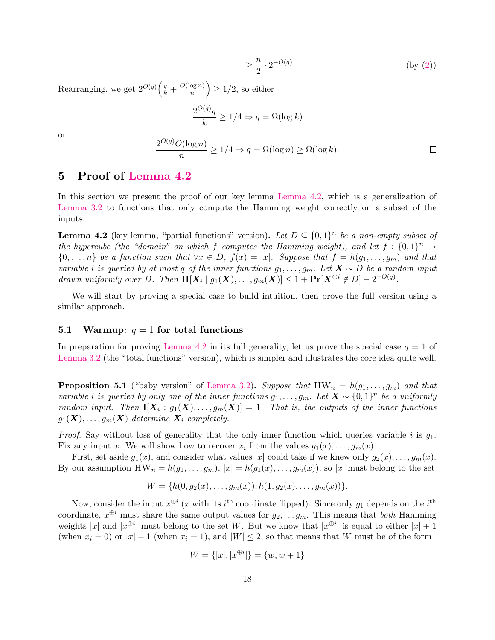$$
\geq \frac{n}{2} \cdot 2^{-O(q)}.\tag{by (2)}
$$

Rearranging, we get  $2^{O(q)}\left(\frac{q}{k} + \frac{O(\log n)}{n}\right)$  $\left(\frac{\log n}{n}\right) \geq 1/2$ , so either

$$
\frac{2^{O(q)}q}{k} \geq 1/4 \Rightarrow q = \Omega(\log k)
$$

or

$$
\frac{2^{O(q)}O(\log n)}{n} \ge 1/4 \Rightarrow q = \Omega(\log n) \ge \Omega(\log k).
$$

# <span id="page-17-0"></span>5 Proof of [Lemma 4.2](#page-13-0)

In this section we present the proof of our key lemma [Lemma 4.2,](#page-13-0) which is a generalization of [Lemma 3.2](#page-9-1) to functions that only compute the Hamming weight correctly on a subset of the inputs.

**Lemma 4.2** (key lemma, "partial functions" version). Let  $D \subseteq \{0,1\}^n$  be a non-empty subset of the hypercube (the "domain" on which f computes the Hamming weight), and let  $f: \{0,1\}^n \rightarrow$  $\{0,\ldots,n\}$  be a function such that  $\forall x \in D$ ,  $f(x) = |x|$ . Suppose that  $f = h(g_1,\ldots,g_m)$  and that variable i is queried by at most q of the inner functions  $g_1, \ldots, g_m$ . Let  $\mathbf{X} \sim D$  be a random input drawn uniformly over D. Then  $\mathbf{H}[X_i \mid g_1(X), \ldots, g_m(X)] \leq 1 + \Pr[X^{\oplus i} \notin D] - 2^{-O(q)}$ .

We will start by proving a special case to build intuition, then prove the full version using a similar approach.

### 5.1 Warmup:  $q = 1$  for total functions

In preparation for proving [Lemma 4.2](#page-13-0) in its full generality, let us prove the special case  $q = 1$  of [Lemma 3.2](#page-9-1) (the "total functions" version), which is simpler and illustrates the core idea quite well.

**Proposition 5.1** ("baby version" of [Lemma 3.2\)](#page-9-1). Suppose that  $HW_n = h(g_1, \ldots, g_m)$  and that variable i is queried by only one of the inner functions  $g_1, \ldots, g_m$ . Let  $\mathbf{X} \sim \{0,1\}^n$  be a uniformly random input. Then  $\mathbf{I}[\bm{X}_i: g_1(\bm{X}), \ldots, g_m(\bm{X})] = 1$ . That is, the outputs of the inner functions  $g_1(\boldsymbol{X}), \ldots, g_m(\boldsymbol{X})$  determine  $\boldsymbol{X}_i$  completely.

*Proof.* Say without loss of generality that the only inner function which queries variable  $i$  is  $g_1$ . Fix any input x. We will show how to recover  $x_i$  from the values  $g_1(x), \ldots, g_m(x)$ .

First, set aside  $g_1(x)$ , and consider what values |x| could take if we knew only  $g_2(x), \ldots, g_m(x)$ . By our assumption  $HW_n = h(g_1, \ldots, g_m)$ ,  $|x| = h(g_1(x), \ldots, g_m(x))$ , so  $|x|$  must belong to the set

$$
W = \{h(0, g_2(x), \ldots, g_m(x)), h(1, g_2(x), \ldots, g_m(x))\}.
$$

Now, consider the input  $x^{\oplus i}$  (x with its  $i^{\text{th}}$  coordinate flipped). Since only  $g_1$  depends on the  $i^{\text{th}}$ coordinate,  $x^{\oplus i}$  must share the same output values for  $g_2, \ldots g_m$ . This means that *both* Hamming weights |x| and  $|x^{\oplus i}|$  must belong to the set W. But we know that  $|x^{\oplus i}|$  is equal to either  $|x|+1$ (when  $x_i = 0$ ) or  $|x| - 1$  (when  $x_i = 1$ ), and  $|W| \le 2$ , so that means that W must be of the form

$$
W = \{|x|, |x^{\oplus i}|\} = \{w, w + 1\}
$$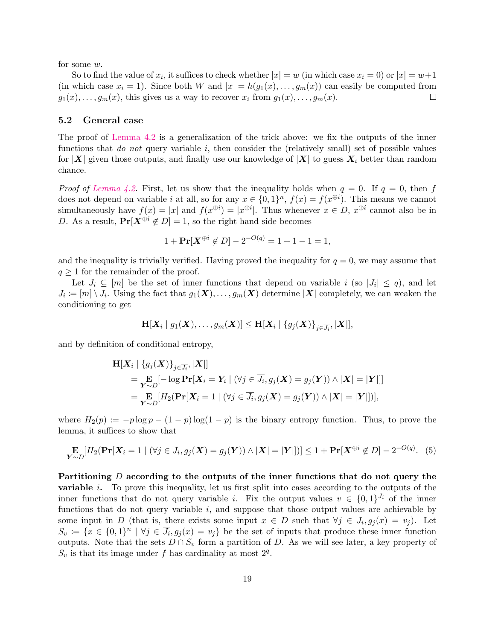for some w.

So to find the value of  $x_i$ , it suffices to check whether  $|x| = w$  (in which case  $x_i = 0$ ) or  $|x| = w+1$ (in which case  $x_i = 1$ ). Since both W and  $|x| = h(g_1(x), \ldots, g_m(x))$  can easily be computed from  $g_1(x), \ldots, g_m(x)$ , this gives us a way to recover  $x_i$  from  $g_1(x), \ldots, g_m(x)$ .  $\Box$ 

#### 5.2 General case

The proof of [Lemma 4.2](#page-13-0) is a generalization of the trick above: we fix the outputs of the inner functions that *do not* query variable  $i$ , then consider the (relatively small) set of possible values for  $|X|$  given those outputs, and finally use our knowledge of  $|X|$  to guess  $X_i$  better than random chance.

*Proof of [Lemma 4.2.](#page-13-0)* First, let us show that the inequality holds when  $q = 0$ . If  $q = 0$ , then f does not depend on variable *i* at all, so for any  $x \in \{0,1\}^n$ ,  $f(x) = f(x^{\oplus i})$ . This means we cannot simultaneously have  $f(x) = |x|$  and  $f(x^{\oplus i}) = |x^{\oplus i}|$ . Thus whenever  $x \in D$ ,  $x^{\oplus i}$  cannot also be in D. As a result,  $Pr[X^{\oplus i} \notin D] = 1$ , so the right hand side becomes

$$
1 + \Pr[X^{\oplus i} \notin D] - 2^{-O(q)} = 1 + 1 - 1 = 1,
$$

and the inequality is trivially verified. Having proved the inequality for  $q = 0$ , we may assume that  $q \geq 1$  for the remainder of the proof.

Let  $J_i \subseteq [m]$  be the set of inner functions that depend on variable i (so  $|J_i| \leq q$ ), and let  $\overline{J_i} \coloneqq [m] \setminus J_i$ . Using the fact that  $g_1(\bm{X}), \ldots, g_m(\bm{X})$  determine  $|\bm{X}|$  completely, we can weaken the conditioning to get

$$
\mathbf{H}[\boldsymbol{X}_i \mid g_1(\boldsymbol{X}), \ldots, g_m(\boldsymbol{X})] \leq \mathbf{H}[\boldsymbol{X}_i \mid \{g_j(\boldsymbol{X})\}_{j \in \overline{J_i}}, |\boldsymbol{X}|],
$$

and by definition of conditional entropy,

$$
\mathbf{H}[X_i | \{g_j(X)\}_{j \in \overline{J}_i}, |X|]
$$
\n
$$
= \mathbf{E}_{\mathbf{Y} \sim D}[-\log \mathbf{Pr}[X_i = Y_i | (\forall j \in \overline{J}_i, g_j(X) = g_j(Y)) \land |X| = |Y|]]
$$
\n
$$
= \mathbf{E}_{\mathbf{Y} \sim D}[\mathbf{H}_2(\mathbf{Pr}[X_i = 1 | (\forall j \in \overline{J}_i, g_j(X) = g_j(Y)) \land |X| = |Y|])],
$$

where  $H_2(p) := -p \log p - (1-p) \log(1-p)$  is the binary entropy function. Thus, to prove the lemma, it suffices to show that

<span id="page-18-0"></span>
$$
\mathop{\mathbf{E}}_{\mathbf{Y}\sim D}[\![H_2(\mathbf{Pr}[\mathbf{X}_i=1\mid (\forall j\in \overline{J_i}, g_j(\mathbf{X})=g_j(\mathbf{Y}))\land |\mathbf{X}|=|\mathbf{Y}|\!])]\leq 1+\mathop{\mathbf{Pr}}[\mathbf{X}^{\oplus i}\notin D]-2^{-O(q)}. \tag{5}
$$

Partitioning D according to the outputs of the inner functions that do not query the variable i. To prove this inequality, let us first split into cases according to the outputs of the inner functions that do not query variable *i*. Fix the output values  $v \in \{0,1\}^{J_i}$  of the inner functions that do not query variable  $i$ , and suppose that those output values are achievable by some input in D (that is, there exists some input  $x \in D$  such that  $\forall j \in \overline{J_i}$ ,  $g_j(x) = v_j$ ). Let  $S_v := \{x \in \{0,1\}^n \mid \forall j \in \overline{J_i}, g_j(x) = v_j\}$  be the set of inputs that produce these inner function outputs. Note that the sets  $D \cap S_v$  form a partition of D. As we will see later, a key property of  $S_v$  is that its image under f has cardinality at most  $2^q$ .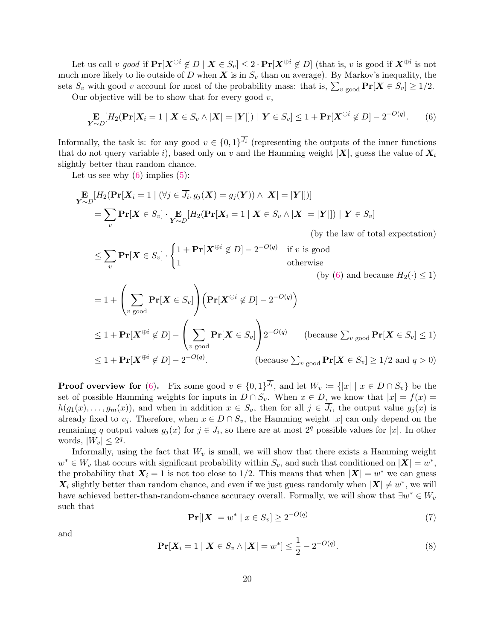Let us call v good if  $Pr[\mathbf{X}^{\oplus i} \notin D \mid \mathbf{X} \in S_v] \leq 2 \cdot Pr[\mathbf{X}^{\oplus i} \notin D]$  (that is, v is good if  $\mathbf{X}^{\oplus i}$  is not much more likely to lie outside of D when  $X$  is in  $S_v$  than on average). By Markov's inequality, the sets  $S_v$  with good v account for most of the probability mass: that is,  $\sum_{v \text{ good}} \Pr[\mathbf{X} \in S_v] \ge 1/2$ .

Our objective will be to show that for every good  $v$ ,

<span id="page-19-0"></span>
$$
\mathop{\mathbf{E}}_{\mathbf{Y}\sim D} [H_2(\mathbf{Pr}[\mathbf{X}_i=1 \mid \mathbf{X}\in S_v \wedge |\mathbf{X}|=|\mathbf{Y}|]) \mid \mathbf{Y}\in S_v] \le 1 + \mathbf{Pr}[\mathbf{X}^{\oplus i}\notin D] - 2^{-O(q)}. \tag{6}
$$

Informally, the task is: for any good  $v \in \{0,1\}^{\overline{J_i}}$  (representing the outputs of the inner functions that do not query variable i), based only on v and the Hamming weight  $|X|$ , guess the value of  $X_i$ slightly better than random chance.

Let us see why  $(6)$  implies  $(5)$ :

$$
\mathbf{E}_{\sim D}[\begin{aligned} H_2(\mathbf{Pr}[X_i = 1 \mid (\forall j \in \overline{J_i}, g_j(X) = g_j(Y)) \land |\mathbf{X}| = |\mathbf{Y}|])] \\ = \sum_v \mathbf{Pr}[X \in S_v] \cdot \mathbf{E}_{\sim D}[\begin{aligned} H_2(\mathbf{Pr}[X_i = 1 \mid X \in S_v \land |\mathbf{X}| = |\mathbf{Y}|]) \mid Y \in S_v] \\ \text{(by the law of total expectation)} \end{aligned} \end{aligned}
$$

$$
\leq \sum_{v} \mathbf{Pr}[\mathbf{X} \in S_v] \cdot \begin{cases} 1 + \mathbf{Pr}[\mathbf{X}^{\oplus i} \notin D] - 2^{-O(q)} & \text{if } v \text{ is good} \\ 1 & \text{otherwise} \end{cases}
$$

(by [\(6\)](#page-19-0) and because  $H_2(\cdot) \leq 1$ )

$$
= 1 + \left(\sum_{v \text{ good}} \mathbf{Pr}[\mathbf{X} \in S_v] \right) \left(\mathbf{Pr}[\mathbf{X}^{\oplus i} \notin D] - 2^{-O(q)}\right)
$$
  

$$
\leq 1 + \mathbf{Pr}[\mathbf{X}^{\oplus i} \notin D] - \left(\sum_{v \text{ good}} \mathbf{Pr}[\mathbf{X} \in S_v] \right) 2^{-O(q)} \quad \text{(because } \sum_{v \text{ good}} \mathbf{Pr}[\mathbf{X} \in S_v] \leq 1)
$$
  

$$
\leq 1 + \mathbf{Pr}[\mathbf{X}^{\oplus i} \notin D] - 2^{-O(q)}.
$$
 (because  $\sum_{v \text{ good}} \mathbf{Pr}[\mathbf{X} \in S_v] \geq 1/2$  and  $q > 0$ )

**Proof overview for** [\(6\)](#page-19-0). Fix some good  $v \in \{0,1\}^{J_i}$ , and let  $W_v := \{|x| \mid x \in D \cap S_v\}$  be the set of possible Hamming weights for inputs in  $D \cap S_v$ . When  $x \in D$ , we know that  $|x| = f(x) =$  $h(g_1(x), \ldots, g_m(x))$ , and when in addition  $x \in S_v$ , then for all  $j \in \overline{J_i}$ , the output value  $g_j(x)$  is already fixed to  $v_i$ . Therefore, when  $x \in D \cap S_v$ , the Hamming weight |x| can only depend on the remaining q output values  $g_j(x)$  for  $j \in J_i$ , so there are at most  $2^q$  possible values for |x|. In other words,  $|W_v| \leq 2^q$ .

Informally, using the fact that  $W_v$  is small, we will show that there exists a Hamming weight  $w^* \in W_v$  that occurs with significant probability within  $S_v$ , and such that conditioned on  $|\mathbf{X}| = w^*$ , the probability that  $X_i = 1$  is not too close to 1/2. This means that when  $|X| = w^*$  we can guess  $\mathbf{X}_i$  slightly better than random chance, and even if we just guess randomly when  $|\mathbf{X}| \neq w^*$ , we will have achieved better-than-random-chance accuracy overall. Formally, we will show that  $\exists w^* \in W_v$ such that

<span id="page-19-1"></span>
$$
\Pr[|X| = w^* \mid x \in S_v] \ge 2^{-O(q)}\tag{7}
$$

and

<span id="page-19-2"></span>
$$
\Pr[X_i = 1 \mid \mathbf{X} \in S_v \land |\mathbf{X}| = w^*] \le \frac{1}{2} - 2^{-O(q)}.
$$
\n(8)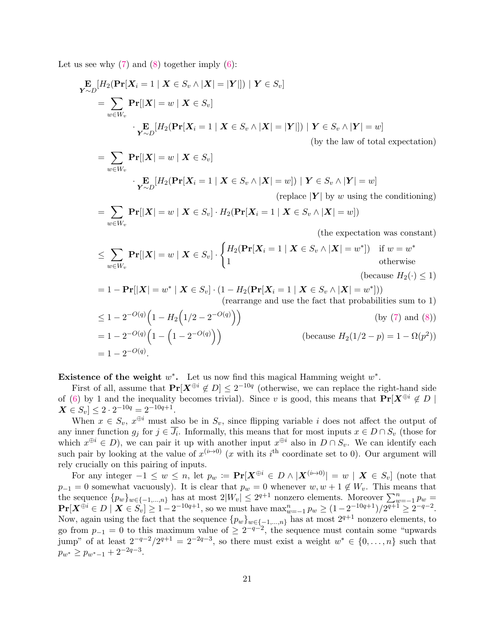Let us see why  $(7)$  and  $(8)$  together imply  $(6)$ :

=

$$
\mathbf{E}_{\mathbf{y} \sim D} [H_2(\mathbf{Pr}[\mathbf{X}_i = 1 \mid \mathbf{X} \in S_v \land |\mathbf{X}| = |\mathbf{Y}|]) \mid \mathbf{Y} \in S_v]
$$
\n
$$
= \sum_{w \in W_v} \mathbf{Pr}[|\mathbf{X}| = w \mid \mathbf{X} \in S_v]
$$
\n
$$
\cdot \mathbf{E}_{\mathbf{y} \sim D} [H_2(\mathbf{Pr}[\mathbf{X}_i = 1 \mid \mathbf{X} \in S_v \land |\mathbf{X}| = |\mathbf{Y}|]) \mid \mathbf{Y} \in S_v \land |\mathbf{Y}| = w]
$$
\n(by the law of total expectation)

(by the law of total expectation)

$$
\begin{aligned}\n&= \sum_{w \in W_v} \mathbf{Pr}[|\mathbf{X}| = w \mid \mathbf{X} \in S_v] \\
&\cdot \mathbf{E}_{\mathbf{Y} \sim D} [H_2(\mathbf{Pr}[\mathbf{X}_i = 1 \mid \mathbf{X} \in S_v \land |\mathbf{X}| = w]) \mid \mathbf{Y} \in S_v \land |\mathbf{Y}| = w] \\
&\quad \text{(replace } |\mathbf{Y}| \text{ by } w \text{ using the conditioning)}\n\end{aligned}
$$

$$
= \sum_{w \in W_v} \mathbf{Pr}[|\mathbf{X}| = w \mid \mathbf{X} \in S_v] \cdot H_2(\mathbf{Pr}[\mathbf{X}_i = 1 \mid \mathbf{X} \in S_v \wedge |\mathbf{X}| = w])
$$

(the expectation was constant)

$$
\leq \sum_{w \in W_v} \mathbf{Pr}[|\mathbf{X}| = w \mid \mathbf{X} \in S_v] \cdot \begin{cases} H_2(\mathbf{Pr}[\mathbf{X}_i = 1 \mid \mathbf{X} \in S_v \land |\mathbf{X}| = w^*]) & \text{if } w = w^* \\ 1 & \text{otherwise} \end{cases}
$$
\n(because  $H_2(\cdot) \leq 1$ )

$$
= 1 - \Pr[|\mathbf{X}| = w^* | \mathbf{X} \in S_v] \cdot (1 - H_2(\Pr[\mathbf{X}_i = 1 | \mathbf{X} \in S_v \land |\mathbf{X}| = w^*]))
$$
  
(rearrange and use the fact that probabilities sum to 1)

$$
\leq 1 - 2^{-O(q)} \left( 1 - H_2 \left( 1/2 - 2^{-O(q)} \right) \right)
$$
 (by (7) and (8))  
= 1 - 2<sup>-O(q)</sup> \left( 1 - \left( 1 - 2^{-O(q)} \right) \right) (because  $H_2(1/2 - p) = 1 - \Omega(p^2)$ )

$$
= 1 - 2^{-O(q)}.
$$

Existence of the weight  $w^*$ . Let us now find this magical Hamming weight  $w^*$ .

First of all, assume that  $Pr[X^{\oplus i} \notin D] \leq 2^{-10q}$  (otherwise, we can replace the right-hand side of [\(6\)](#page-19-0) by 1 and the inequality becomes trivial). Since v is good, this means that  $Pr[X^{\oplus i} \notin D]$  $\boldsymbol{X} \in S_v] \leq 2 \cdot 2^{-10q} = 2^{-10q+1}.$ 

When  $x \in S_v$ ,  $x^{\oplus i}$  must also be in  $S_v$ , since flipping variable i does not affect the output of any inner function  $g_j$  for  $j \in J_i$ . Informally, this means that for most inputs  $x \in D \cap S_v$  (those for which  $x^{\oplus i} \in D$ ), we can pair it up with another input  $x^{\oplus i}$  also in  $D \cap S_v$ . We can identify each such pair by looking at the value of  $x^{(i\rightarrow 0)}$  (x with its i<sup>th</sup> coordinate set to 0). Our argument will rely crucially on this pairing of inputs.

For any integer  $-1 \leq w \leq n$ , let  $p_w := \Pr[X^{\oplus i} \in D \wedge |X^{(i \to 0)}| = w \mid X \in S_v]$  (note that  $p_{-1} = 0$  somewhat vacuously). It is clear that  $p_w = 0$  whenever  $w, w + 1 \notin W_v$ . This means that the sequence  $\{p_w\}_{w\in\{-1,\dots,n\}}$  has at most  $2|W_v| \leq 2^{q+1}$  nonzero elements. Moreover  $\sum_{w=-1}^{n} p_w =$  $\Pr[\boldsymbol{X}^{\oplus i} \in D \mid \boldsymbol{X} \in S_v] \geq 1 - 2^{-10q+1}$ , so we must have  $\max_{w=-1}^n p_w \geq (1 - 2^{-10q+1})/2^{q+1} \geq 2^{-q-2}$ . Now, again using the fact that the sequence  $\{p_w\}_{w\in\{-1,\dots,n\}}$  has at most  $2^{q+1}$  nonzero elements, to go from  $p_{-1} = 0$  to this maximum value of  $\geq 2^{-q-2}$ , the sequence must contain some "upwards" jump" of at least  $2^{-q-2}/2^{q+1} = 2^{-2q-3}$ , so there must exist a weight  $w^* \in \{0, \ldots, n\}$  such that  $p_{w^*} \geq p_{w^*-1} + 2^{-2q-3}.$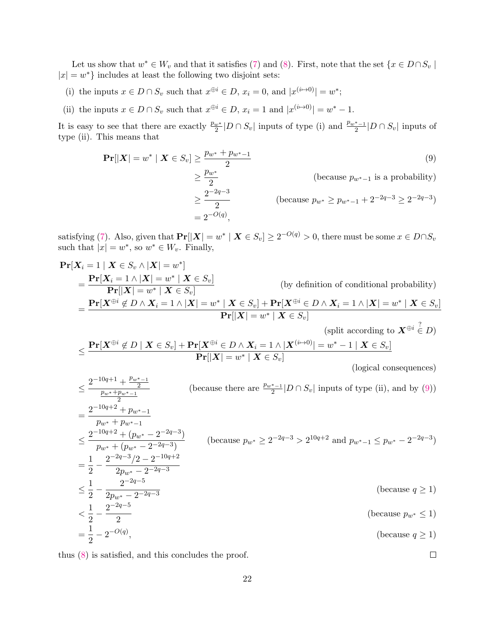Let us show that  $w^* \in W_v$  and that it satisfies [\(7\)](#page-19-1) and [\(8\)](#page-19-2). First, note that the set  $\{x \in D \cap S_v \mid$  $|x| = w^*$  includes at least the following two disjoint sets:

- (i) the inputs  $x \in D \cap S_v$  such that  $x^{\oplus i} \in D$ ,  $x_i = 0$ , and  $|x^{(i \mapsto 0)}| = w^*$ ;
- (ii) the inputs  $x \in D \cap S_v$  such that  $x^{\oplus i} \in D$ ,  $x_i = 1$  and  $|x^{(i \mapsto 0)}| = w^* 1$ .

It is easy to see that there are exactly  $\frac{p_w*}{2}|D \cap S_v|$  inputs of type (i) and  $\frac{p_w*-\1}{2}|D \cap S_v|$  inputs of type (ii). This means that

<span id="page-21-0"></span>
$$
\begin{aligned} \Pr[|X| = w^* | X \in S_v] &\ge \frac{p_{w^*} + p_{w^* - 1}}{2} \\ &\ge \frac{p_{w^*}}{2} \qquad \text{(because } p_{w^* - 1} \text{ is a probability)} \\ &\ge \frac{2^{-2q - 3}}{2} \qquad \text{(because } p_{w^*} \ge p_{w^* - 1} + 2^{-2q - 3} \ge 2^{-2q - 3}) \\ &= 2^{-O(q)}, \end{aligned}
$$

satisfying [\(7\)](#page-19-1). Also, given that  $Pr[|X| = w^* | X \in S_v] \ge 2^{-O(q)} > 0$ , there must be some  $x \in D \cap S_v$ such that  $|x| = w^*$ , so  $w^* \in W_v$ . Finally,

$$
\begin{split}\n&\Pr[X_i = 1 \mid X \in S_v \land |X| = w^*] \\
&= \frac{\Pr[X_i = 1 \land |X| = w^* \mid X \in S_v]}{\Pr[|X| = w^* \mid X \in S_v]} \\
&= \frac{\Pr[X^{\oplus i} \notin D \land X_i = 1 \land |X| = w^* \mid X \in S_v]}{\Pr[|X| = w^* \mid X \in S_v]} \\
&\leq \frac{\Pr[X^{\oplus i} \notin D \mid X \in S_v] + \Pr[X^{\oplus i} \in D \land X_i = 1 \land |X| = w^* \mid X \in S_v]}{\Pr[|X| = w^* \mid X \in S_v]} \\
&\leq \frac{2^{-10q+1} + \frac{p_w* - 1}{2}}{\frac{p_w + p_w* - 1}{2}} \\
&= \frac{2^{-10q+2} + p_{w^* - 1}}{\frac{p_w+2}{2}} \\
&\leq \frac{2^{-10q+2} + p_{w^* - 1}}{\frac{p_w+2}{2}} \\
&= \frac{2^{-10q+2} + (p_{w^*} - 2^{-2q-3})}{\frac{p_w+2}{2}} \\
&= \frac{2^{-2q-3}}{2^{-2q-3}} \\
&= \frac{2^{-2q-3}}{2^{-2q-3}} \\
&= \frac{2^{-2q-3}}{2^{-2q-3}} \\
&= \frac{2^{-2q-3}}{2^{-2q-3}} \\
&= \frac{2^{-2q-3}}{2^{-2q-3}} \\
&= \frac{2^{-2q-3}}{2^{-2q-3}} \\
&= \frac{2^{-2q-3}}{2^{-2q-3}} \\
&= \frac{2^{-2q-3}}{2^{-2q-3}} \\
&= \frac{2^{-2q-3}}{2^{-2q-3}} \\
&= \frac{2^{-2q-3}}{2} \\
&= \frac{2^{-2q-3}}{2} \\
&= \frac{2^{-2q-3}}{2} \\
&= \frac{2^{-2q-3}}{2} \\
&= \frac{2^{-2q-3}}{2} \\
&= \frac{2^{-2q-3}}{2} \\
&= \frac{2^{-2q-3}}{2} \\
&= \frac{2^{-2q-3}}{2} \\
&= \frac{2^{-2q-3}}{2} \\
&= \frac{2^{-2q-3}}{2} \\
&= \frac{2^{-2q-3}}{2} \\
&= \frac{2^{-2q-3}}{2} \\
&= \
$$

thus [\(8\)](#page-19-2) is satisfied, and this concludes the proof.

 $\Box$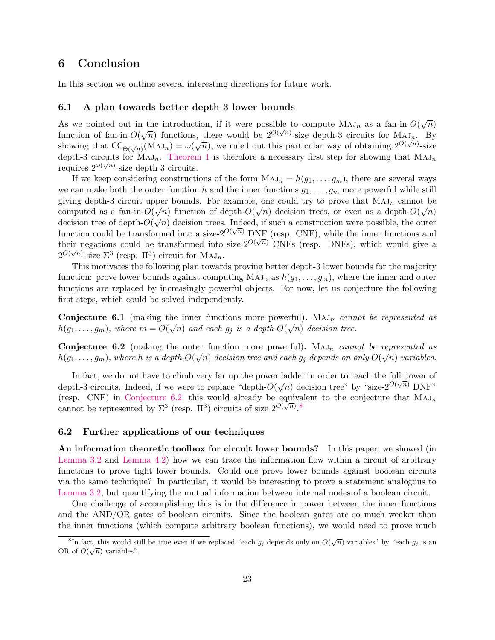### 6 Conclusion

In this section we outline several interesting directions for future work.

#### <span id="page-22-0"></span>6.1 A plan towards better depth-3 lower bounds

As we pointed out in the introduction, if it were possible to compute  $MAJ_n$  as a fan-in- $O(\sqrt{n})$ function of fan-in- $O(\sqrt{n})$  functions, there would be  $2^{O(\sqrt{n})}$ -size depth-3 circuits for  $M_{A,J_n}$ . By showing that  $\mathsf{CC}_{\Theta(\sqrt{n})}(\mathrm{MAJ}_n) = \omega(\sqrt{n})$ , we ruled out this particular way of obtaining  $2^{O(\sqrt{n})}$ -size depth-3 circuits for  $M_{A J_n}$ . [Theorem 1](#page-1-0) is therefore a necessary first step for showing that  $M_{A J_n}$ requires  $2^{\omega(\sqrt{n})}$ -size depth-3 circuits.

If we keep considering constructions of the form  $MAJ_n = h(g_1, \ldots, g_m)$ , there are several ways we can make both the outer function h and the inner functions  $g_1, \ldots, g_m$  more powerful while still giving depth-3 circuit upper bounds. For example, one could try to prove that  $MAJ_n$  cannot be computed as a fan-in- $O(\sqrt{n})$  function of depth- $O(\sqrt{n})$  decision trees, or even as a depth- $O(\sqrt{n})$ decision tree of depth- $O(\sqrt{n})$  decision trees. Indeed, if such a construction were possible, the outer function could be transformed into a size- $2^{O(\sqrt{n})}$  DNF (resp. CNF), while the inner functions and their negations could be transformed into size- $2^{O(\sqrt{n})}$  CNFs (resp. DNFs), which would give a  $2^{O(\sqrt{n})}$ -size  $\Sigma^3$  (resp.  $\Pi^3$ ) circuit for  $\text{MAJ}_n$ .

This motivates the following plan towards proving better depth-3 lower bounds for the majority function: prove lower bounds against computing  $MAJ_n$  as  $h(g_1, \ldots, g_m)$ , where the inner and outer functions are replaced by increasingly powerful objects. For now, let us conjecture the following first steps, which could be solved independently.

**Conjecture 6.1** (making the inner functions more powerful). Maj<sub>n</sub> cannot be represented as  $h(g_1, \ldots, g_m)$ , where  $m = O(\sqrt{n})$  and each  $g_j$  is a depth- $O(\sqrt{n})$  decision tree.

<span id="page-22-1"></span>**Conjecture 6.2** (making the outer function more powerful). Maj<sub>n</sub> cannot be represented as  $h(g_1,\ldots,g_m),$  where  $h$  is a depth- $O(\sqrt{n})$  decision tree and each  $g_j$  depends on only  $O(\sqrt{n})$  variables.

In fact, we do not have to climb very far up the power ladder in order to reach the full power of depth-3 circuits. Indeed, if we were to replace "depth- $O(\sqrt{n})$  decision tree" by "size- $2^{O(\sqrt{n})}$  DNF" (resp. CNF) in [Conjecture 6.2,](#page-22-1) this would already be equivalent to the conjecture that  $MAJ_n$ cannot be represented by  $\Sigma^3$  (resp.  $\Pi^3$ ) circuits of size  $2^{O(\sqrt{n})}$ .<sup>[8](#page-22-2)</sup>

### 6.2 Further applications of our techniques

An information theoretic toolbox for circuit lower bounds? In this paper, we showed (in [Lemma 3.2](#page-9-1) and [Lemma 4.2\)](#page-13-0) how we can trace the information flow within a circuit of arbitrary functions to prove tight lower bounds. Could one prove lower bounds against boolean circuits via the same technique? In particular, it would be interesting to prove a statement analogous to [Lemma 3.2,](#page-9-1) but quantifying the mutual information between internal nodes of a boolean circuit.

One challenge of accomplishing this is in the difference in power between the inner functions and the AND/OR gates of boolean circuits. Since the boolean gates are so much weaker than the inner functions (which compute arbitrary boolean functions), we would need to prove much

<span id="page-22-2"></span><sup>&</sup>lt;sup>8</sup>In fact, this would still be true even if we replaced "each  $g_j$  depends only on  $O(\sqrt{n})$  variables" by "each  $g_j$  is an OR of  $O(\sqrt{n})$  variables".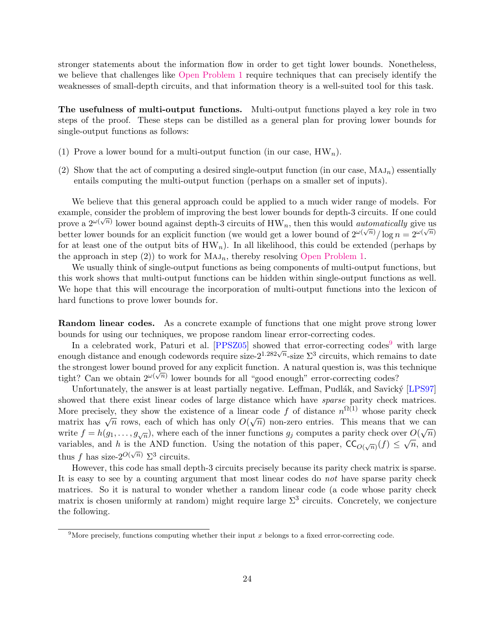stronger statements about the information flow in order to get tight lower bounds. Nonetheless, we believe that challenges like [Open Problem 1](#page-3-2) require techniques that can precisely identify the weaknesses of small-depth circuits, and that information theory is a well-suited tool for this task.

The usefulness of multi-output functions. Multi-output functions played a key role in two steps of the proof. These steps can be distilled as a general plan for proving lower bounds for single-output functions as follows:

- (1) Prove a lower bound for a multi-output function (in our case,  $HW_n$ ).
- (2) Show that the act of computing a desired single-output function (in our case,  $MAJ_n$ ) essentially entails computing the multi-output function (perhaps on a smaller set of inputs).

We believe that this general approach could be applied to a much wider range of models. For example, consider the problem of improving the best lower bounds for depth-3 circuits. If one could prove a  $2^{\omega(\sqrt{n})}$  lower bound against depth-3 circuits of HW<sub>n</sub>, then this would *automatically* give us better lower bounds for an explicit function (we would get a lower bound of  $2^{\omega(\sqrt{n})}/\log n = 2^{\omega(\sqrt{n})}$ ) for at least one of the output bits of  $HW_n$ ). In all likelihood, this could be extended (perhaps by the approach in step (2)) to work for  $MAJ_n$ , thereby resolving [Open Problem 1.](#page-3-2)

We usually think of single-output functions as being components of multi-output functions, but this work shows that multi-output functions can be hidden within single-output functions as well. We hope that this will encourage the incorporation of multi-output functions into the lexicon of hard functions to prove lower bounds for.

<span id="page-23-2"></span>Random linear codes. As a concrete example of functions that one might prove strong lower bounds for using our techniques, we propose random linear error-correcting codes.

In a celebrated work, Paturi et al.  $[PPSZ05]$  showed that error-correcting codes<sup>[9](#page-23-0)</sup> with large enough distance and enough codewords require size- $2^{1.282\sqrt{n}}$ -size  $\Sigma^3$  circuits, which remains to date the strongest lower bound proved for any explicit function. A natural question is, was this technique tight? Can we obtain  $2^{\omega(\sqrt{n})}$  lower bounds for all "good enough" error-correcting codes?

Unfortunately, the answer is at least partially negative. Leffman, Pudlák, and Savický [\[LPS97\]](#page-26-14) showed that there exist linear codes of large distance which have *sparse* parity check matrices. More precisely, they show the existence of a linear code f of distance  $n^{\Omega(1)}$  whose parity check more precisely, they show the existence of a linear code f of distance  $n \times$  whose partly check<br>matrix has  $\sqrt{n}$  rows, each of which has only  $O(\sqrt{n})$  non-zero entries. This means that we can write  $f = h(g_1, \ldots, g_{\sqrt{n}})$ , where each of the inner functions  $g_j$  computes a parity check over  $O(\sqrt{n})$ variables, and h is the AND function. Using the notation of this paper,  $\mathsf{CC}_{O(\sqrt{n})}(f) \leq \sqrt{n}$ , and thus f has size- $2^{O(\sqrt{n})} \Sigma^3$  circuits.

However, this code has small depth-3 circuits precisely because its parity check matrix is sparse. It is easy to see by a counting argument that most linear codes do *not* have sparse parity check matrices. So it is natural to wonder whether a random linear code (a code whose parity check matrix is chosen uniformly at random) might require large  $\Sigma^3$  circuits. Concretely, we conjecture the following.

<span id="page-23-1"></span><span id="page-23-0"></span><sup>&</sup>lt;sup>9</sup>More precisely, functions computing whether their input x belongs to a fixed error-correcting code.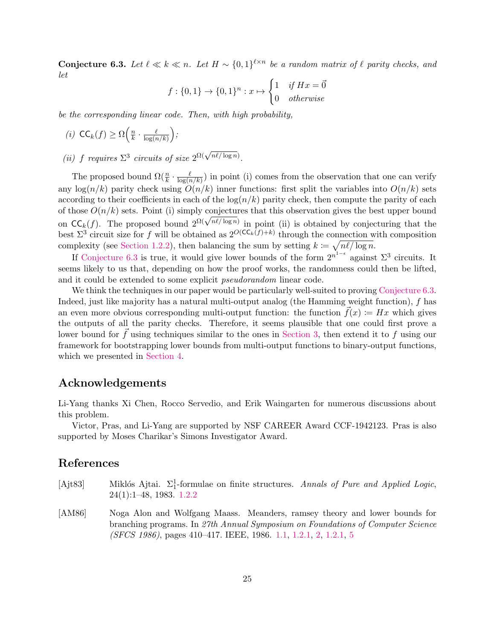**Conjecture 6.3.** Let  $\ell \ll k \ll n$ . Let  $H \sim \{0,1\}^{\ell \times n}$  be a random matrix of  $\ell$  parity checks, and let

$$
f: \{0,1\} \to \{0,1\}^n : x \mapsto \begin{cases} 1 & \text{if } Hx = \vec{0} \\ 0 & \text{otherwise} \end{cases}
$$

be the corresponding linear code. Then, with high probability,

$$
(i) CCk(f) \ge \Omega\left(\frac{n}{k} \cdot \frac{\ell}{\log(n/k)}\right);
$$

(ii) f requires  $\Sigma^3$  circuits of size  $2^{\Omega(\sqrt{n\ell/\log n})}$ .

The proposed bound  $\Omega(\frac{n}{k} \cdot \frac{\ell}{\log(n)})$  $\frac{\ell}{\log(n/k)}$  in point (i) comes from the observation that one can verify any  $\log(n/k)$  parity check using  $O(n/k)$  inner functions: first split the variables into  $O(n/k)$  sets according to their coefficients in each of the  $log(n/k)$  parity check, then compute the parity of each of those  $O(n/k)$  sets. Point (i) simply conjectures that this observation gives the best upper bound on CC<sub>k</sub>(f). The proposed bound  $2^{\Omega(\sqrt{n\ell/\log n})}$  in point (ii) is obtained by conjecturing that the best  $\Sigma^3$  circuit size for f will be obtained as  $2^{O(\mathsf{CC}_k(f)+k)}$  through the connection with composition complexity (see [Section 1.2.2\)](#page-2-0), then balancing the sum by setting  $k \coloneqq \sqrt{n\ell/\log n}$ .

If [Conjecture 6.3](#page-23-1) is true, it would give lower bounds of the form  $2^{n^{1-\epsilon}}$  against  $\Sigma^3$  circuits. It seems likely to us that, depending on how the proof works, the randomness could then be lifted, and it could be extended to some explicit pseudorandom linear code.

We think the techniques in our paper would be particularly well-suited to proving [Conjecture 6.3.](#page-23-1) Indeed, just like majority has a natural multi-output analog (the Hamming weight function), f has an even more obvious corresponding multi-output function: the function  $\vec{f}(x) := Hx$  which gives the outputs of all the parity checks. Therefore, it seems plausible that one could first prove a lower bound for  $f$  using techniques similar to the ones in [Section 3,](#page-9-0) then extend it to  $f$  using our framework for bootstrapping lower bounds from multi-output functions to binary-output functions, which we presented in [Section 4.](#page-11-0)

### Acknowledgements

Li-Yang thanks Xi Chen, Rocco Servedio, and Erik Waingarten for numerous discussions about this problem.

Victor, Pras, and Li-Yang are supported by NSF CAREER Award CCF-1942123. Pras is also supported by Moses Charikar's Simons Investigator Award.

# References

- <span id="page-24-1"></span>[Ajt83] Miklós Ajtai.  $\Sigma_1^1$ -formulae on finite structures. Annals of Pure and Applied Logic, 24(1):1–48, 1983. [1.2.2](#page-2-1)
- <span id="page-24-0"></span>[AM86] Noga Alon and Wolfgang Maass. Meanders, ramsey theory and lower bounds for branching programs. In 27th Annual Symposium on Foundations of Computer Science (SFCS 1986), pages 410–417. IEEE, 1986. [1.1,](#page-1-0) [1.2.1,](#page-2-2) [2,](#page-2-3) [1.2.1,](#page-2-3) [5](#page-5-2)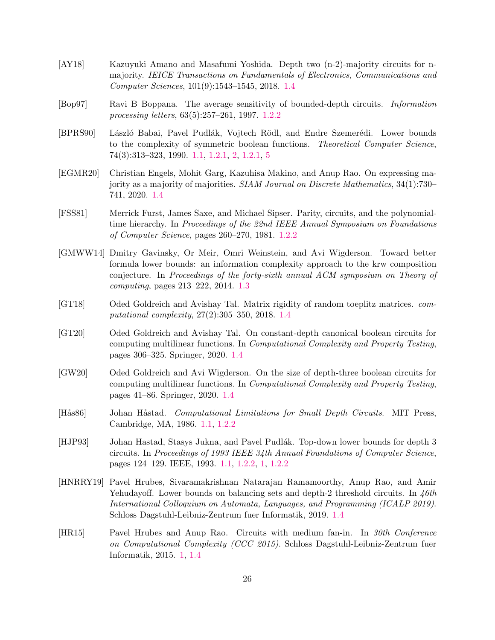- <span id="page-25-12"></span>[AY18] Kazuyuki Amano and Masafumi Yoshida. Depth two (n-2)-majority circuits for nmajority. IEICE Transactions on Fundamentals of Electronics, Communications and Computer Sciences, 101(9):1543–1545, 2018. [1.4](#page-6-0)
- <span id="page-25-5"></span>[Bop97] Ravi B Boppana. The average sensitivity of bounded-depth circuits. Information processing letters, 63(5):257–261, 1997. [1.2.2](#page-3-3)
- <span id="page-25-1"></span>[BPRS90] László Babai, Pavel Pudlák, Vojtech Rödl, and Endre Szemerédi. Lower bounds to the complexity of symmetric boolean functions. Theoretical Computer Science, 74(3):313–323, 1990. [1.1,](#page-1-0) [1.2.1,](#page-2-2) [2,](#page-2-3) [1.2.1,](#page-2-3) [5](#page-5-2)
- <span id="page-25-10"></span>[EGMR20] Christian Engels, Mohit Garg, Kazuhisa Makino, and Anup Rao. On expressing majority as a majority of majorities. SIAM Journal on Discrete Mathematics, 34(1):730– 741, 2020. [1.4](#page-6-0)
- <span id="page-25-4"></span>[FSS81] Merrick Furst, James Saxe, and Michael Sipser. Parity, circuits, and the polynomialtime hierarchy. In Proceedings of the 22nd IEEE Annual Symposium on Foundations of Computer Science, pages 260–270, 1981. [1.2.2](#page-2-1)
- <span id="page-25-6"></span>[GMWW14] Dmitry Gavinsky, Or Meir, Omri Weinstein, and Avi Wigderson. Toward better formula lower bounds: an information complexity approach to the krw composition conjecture. In Proceedings of the forty-sixth annual ACM symposium on Theory of computing, pages 213–222, 2014. [1.3](#page-4-2)
- <span id="page-25-8"></span>[GT18] Oded Goldreich and Avishay Tal. Matrix rigidity of random toeplitz matrices. computational complexity, 27(2):305–350, 2018. [1.4](#page-5-3)
- <span id="page-25-9"></span>[GT20] Oded Goldreich and Avishay Tal. On constant-depth canonical boolean circuits for computing multilinear functions. In Computational Complexity and Property Testing, pages 306–325. Springer, 2020. [1.4](#page-5-3)
- <span id="page-25-7"></span>[GW20] Oded Goldreich and Avi Wigderson. On the size of depth-three boolean circuits for computing multilinear functions. In Computational Complexity and Property Testing, pages 41–86. Springer, 2020. [1.4](#page-5-3)
- <span id="page-25-3"></span>[Hås86] Johan Håstad. Computational Limitations for Small Depth Circuits. MIT Press, Cambridge, MA, 1986. [1.1,](#page-1-0) [1.2.2](#page-2-1)
- <span id="page-25-2"></span>[HJP93] Johan Hastad, Stasys Jukna, and Pavel Pudlák. Top-down lower bounds for depth 3 circuits. In Proceedings of 1993 IEEE 34th Annual Foundations of Computer Science, pages 124–129. IEEE, 1993. [1.1,](#page-1-0) [1.2.2,](#page-2-4) [1,](#page-3-2) [1.2.2](#page-3-2)
- <span id="page-25-11"></span>[HNRRY19] Pavel Hrubes, Sivaramakrishnan Natarajan Ramamoorthy, Anup Rao, and Amir Yehudayoff. Lower bounds on balancing sets and depth-2 threshold circuits. In  $\frac{4}{6}$ International Colloquium on Automata, Languages, and Programming (ICALP 2019). Schloss Dagstuhl-Leibniz-Zentrum fuer Informatik, 2019. [1.4](#page-6-0)
- <span id="page-25-0"></span>[HR15] Pavel Hrubes and Anup Rao. Circuits with medium fan-in. In 30th Conference on Computational Complexity (CCC 2015). Schloss Dagstuhl-Leibniz-Zentrum fuer Informatik, 2015. [1,](#page-1-2) [1.4](#page-5-4)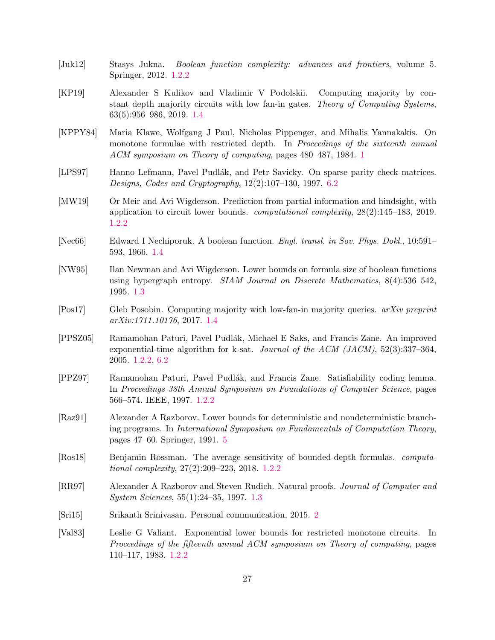- <span id="page-26-1"></span>[Juk12] Stasys Jukna. Boolean function complexity: advances and frontiers, volume 5. Springer, 2012. [1.2.2](#page-2-4)
- <span id="page-26-12"></span>[KP19] Alexander S Kulikov and Vladimir V Podolskii. Computing majority by constant depth majority circuits with low fan-in gates. Theory of Computing Systems, 63(5):956–986, 2019. [1.4](#page-6-0)
- <span id="page-26-6"></span>[KPPY84] Maria Klawe, Wolfgang J Paul, Nicholas Pippenger, and Mihalis Yannakakis. On monotone formulae with restricted depth. In Proceedings of the sixteenth annual ACM symposium on Theory of computing, pages 480–487, 1984. [1](#page-3-0)
- <span id="page-26-14"></span>[LPS97] Hanno Lefmann, Pavel Pudlák, and Petr Savicky. On sparse parity check matrices. Designs, Codes and Cryptography, 12(2):107–130, 1997. [6.2](#page-23-2)
- <span id="page-26-5"></span>[MW19] Or Meir and Avi Wigderson. Prediction from partial information and hindsight, with application to circuit lower bounds. computational complexity, 28(2):145–183, 2019. [1.2.2](#page-3-3)
- <span id="page-26-10"></span>[Nec66] Edward I Nechiporuk. A boolean function. Engl. transl. in Sov. Phys. Dokl., 10:591– 593, 1966. [1.4](#page-5-4)
- <span id="page-26-8"></span>[NW95] Ilan Newman and Avi Wigderson. Lower bounds on formula size of boolean functions using hypergraph entropy. *SIAM Journal on Discrete Mathematics*,  $8(4):536-542$ , 1995. [1.3](#page-4-2)
- <span id="page-26-13"></span>[Pos17] Gleb Posobin. Computing majority with low-fan-in majority queries. arXiv preprint arXiv:1711.10176, 2017. [1.4](#page-6-0)
- <span id="page-26-3"></span>[PPSZ05] Ramamohan Paturi, Pavel Pudl´ak, Michael E Saks, and Francis Zane. An improved exponential-time algorithm for k-sat. *Journal of the ACM (JACM)*,  $52(3):337-364$ , 2005. [1.2.2,](#page-3-2) [6.2](#page-23-2)
- <span id="page-26-2"></span>[PPZ97] Ramamohan Paturi, Pavel Pudl´ak, and Francis Zane. Satisfiability coding lemma. In Proceedings 38th Annual Symposium on Foundations of Computer Science, pages 566–574. IEEE, 1997. [1.2.2](#page-3-2)
- <span id="page-26-11"></span>[Raz91] Alexander A Razborov. Lower bounds for deterministic and nondeterministic branching programs. In International Symposium on Fundamentals of Computation Theory, pages 47–60. Springer, 1991. [5](#page-5-2)
- <span id="page-26-4"></span>[Ros18] Benjamin Rossman. The average sensitivity of bounded-depth formulas. computational complexity, 27(2):209–223, 2018. [1.2.2](#page-3-3)
- <span id="page-26-9"></span>[RR97] Alexander A Razborov and Steven Rudich. Natural proofs. Journal of Computer and System Sciences, 55(1):24–35, 1997. [1.3](#page-5-5)
- <span id="page-26-7"></span>[Sri15] Srikanth Srinivasan. Personal communication, 2015. [2](#page-3-1)
- <span id="page-26-0"></span>[Val83] Leslie G Valiant. Exponential lower bounds for restricted monotone circuits. In Proceedings of the fifteenth annual ACM symposium on Theory of computing, pages 110–117, 1983. [1.2.2](#page-2-4)